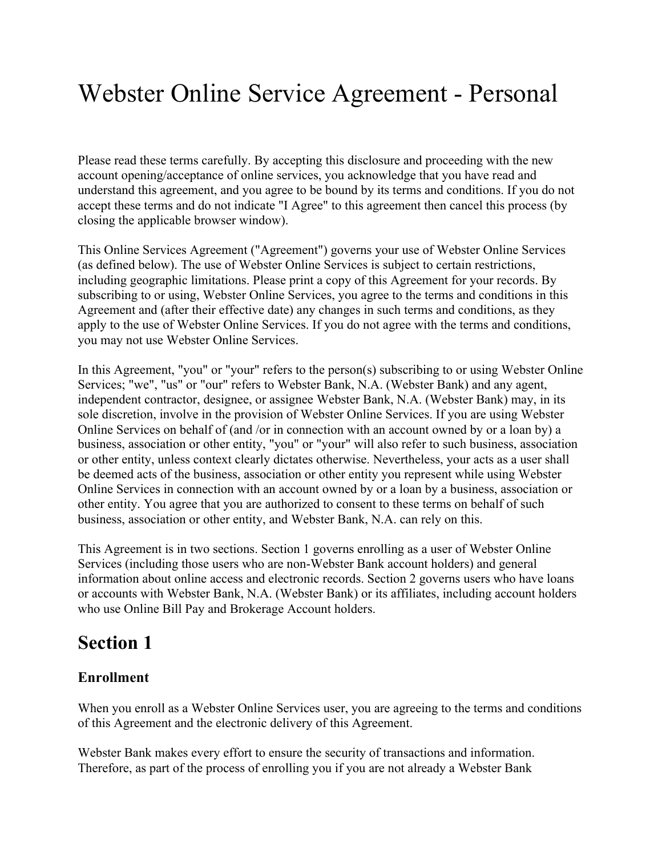# Webster Online Service Agreement - Personal

Please read these terms carefully. By accepting this disclosure and proceeding with the new account opening/acceptance of online services, you acknowledge that you have read and understand this agreement, and you agree to be bound by its terms and conditions. If you do not accept these terms and do not indicate "I Agree" to this agreement then cancel this process (by closing the applicable browser window).

This Online Services Agreement ("Agreement") governs your use of Webster Online Services (as defined below). The use of Webster Online Services is subject to certain restrictions, including geographic limitations. Please print a copy of this Agreement for your records. By subscribing to or using, Webster Online Services, you agree to the terms and conditions in this Agreement and (after their effective date) any changes in such terms and conditions, as they apply to the use of Webster Online Services. If you do not agree with the terms and conditions, you may not use Webster Online Services.

In this Agreement, "you" or "your" refers to the person(s) subscribing to or using Webster Online Services; "we", "us" or "our" refers to Webster Bank, N.A. (Webster Bank) and any agent, independent contractor, designee, or assignee Webster Bank, N.A. (Webster Bank) may, in its sole discretion, involve in the provision of Webster Online Services. If you are using Webster Online Services on behalf of (and /or in connection with an account owned by or a loan by) a business, association or other entity, "you" or "your" will also refer to such business, association or other entity, unless context clearly dictates otherwise. Nevertheless, your acts as a user shall be deemed acts of the business, association or other entity you represent while using Webster Online Services in connection with an account owned by or a loan by a business, association or other entity. You agree that you are authorized to consent to these terms on behalf of such business, association or other entity, and Webster Bank, N.A. can rely on this.

This Agreement is in two sections. Section 1 governs enrolling as a user of Webster Online Services (including those users who are non-Webster Bank account holders) and general information about online access and electronic records. Section 2 governs users who have loans or accounts with Webster Bank, N.A. (Webster Bank) or its affiliates, including account holders who use Online Bill Pay and Brokerage Account holders.

## **Section 1**

## **Enrollment**

When you enroll as a Webster Online Services user, you are agreeing to the terms and conditions of this Agreement and the electronic delivery of this Agreement.

Webster Bank makes every effort to ensure the security of transactions and information. Therefore, as part of the process of enrolling you if you are not already a Webster Bank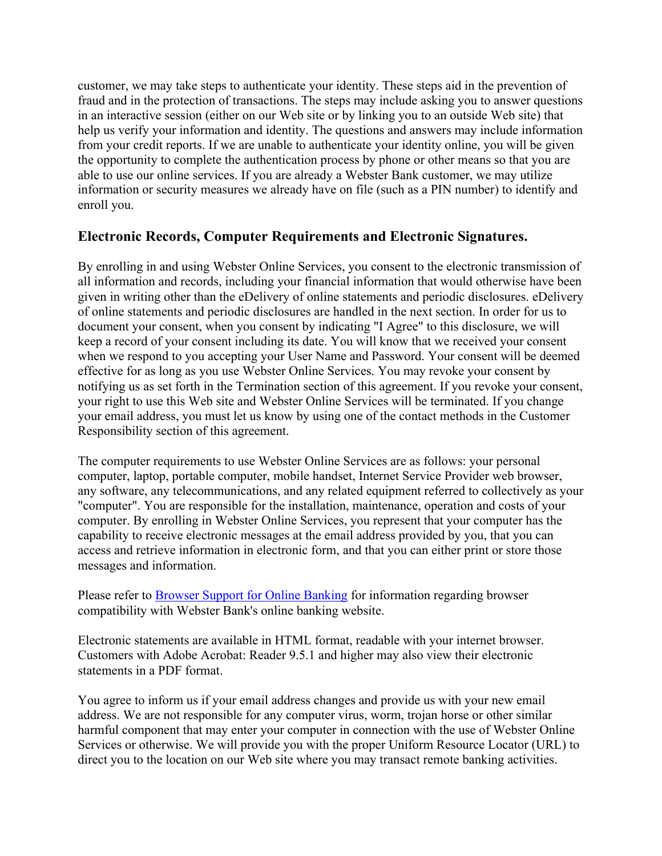customer, we may take steps to authenticate your identity. These steps aid in the prevention of fraud and in the protection of transactions. The steps may include asking you to answer questions in an interactive session (either on our Web site or by linking you to an outside Web site) that help us verify your information and identity. The questions and answers may include information from your credit reports. If we are unable to authenticate your identity online, you will be given the opportunity to complete the authentication process by phone or other means so that you are able to use our online services. If you are already a Webster Bank customer, we may utilize information or security measures we already have on file (such as a PIN number) to identify and enroll you.

## **Electronic Records, Computer Requirements and Electronic Signatures.**

By enrolling in and using Webster Online Services, you consent to the electronic transmission of all information and records, including your financial information that would otherwise have been given in writing other than the eDelivery of online statements and periodic disclosures. eDelivery of online statements and periodic disclosures are handled in the next section. In order for us to document your consent, when you consent by indicating "I Agree" to this disclosure, we will keep a record of your consent including its date. You will know that we received your consent when we respond to you accepting your User Name and Password. Your consent will be deemed effective for as long as you use Webster Online Services. You may revoke your consent by notifying us as set forth in the Termination section of this agreement. If you revoke your consent, your right to use this Web site and Webster Online Services will be terminated. If you change your email address, you must let us know by using one of the contact methods in the Customer Responsibility section of this agreement.

The computer requirements to use Webster Online Services are as follows: your personal computer, laptop, portable computer, mobile handset, Internet Service Provider web browser, any software, any telecommunications, and any related equipment referred to collectively as your "computer". You are responsible for the installation, maintenance, operation and costs of your computer. By enrolling in Webster Online Services, you represent that your computer has the capability to receive electronic messages at the email address provided by you, that you can access and retrieve information in electronic form, and that you can either print or store those messages and information.

Please refer to Browser Support for Online Banking for information regarding browser compatibility with Webster Bank's online banking website.

Electronic statements are available in HTML format, readable with your internet browser. Customers with Adobe Acrobat: Reader 9.5.1 and higher may also view their electronic statements in a PDF format.

You agree to inform us if your email address changes and provide us with your new email address. We are not responsible for any computer virus, worm, trojan horse or other similar harmful component that may enter your computer in connection with the use of Webster Online Services or otherwise. We will provide you with the proper Uniform Resource Locator (URL) to direct you to the location on our Web site where you may transact remote banking activities.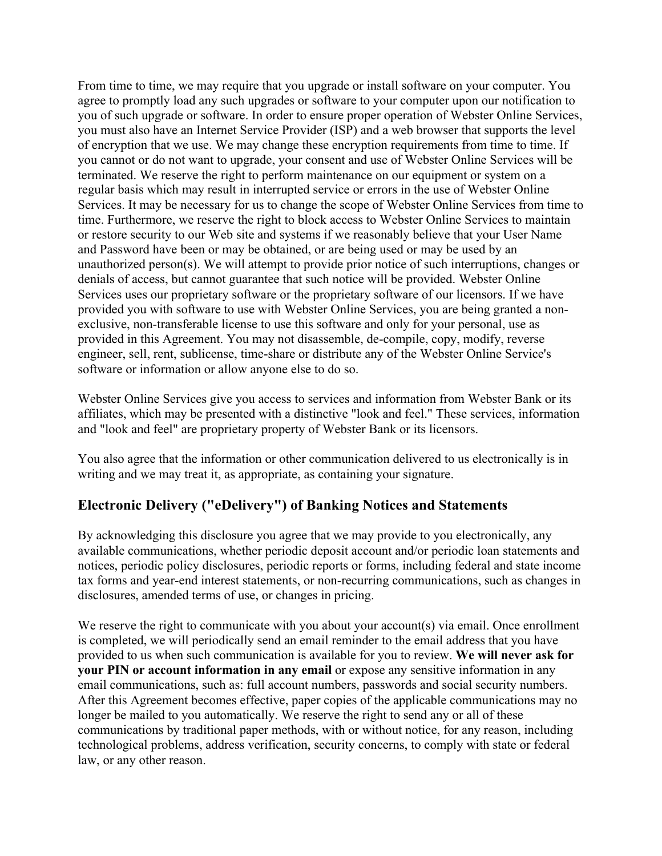From time to time, we may require that you upgrade or install software on your computer. You agree to promptly load any such upgrades or software to your computer upon our notification to you of such upgrade or software. In order to ensure proper operation of Webster Online Services, you must also have an Internet Service Provider (ISP) and a web browser that supports the level of encryption that we use. We may change these encryption requirements from time to time. If you cannot or do not want to upgrade, your consent and use of Webster Online Services will be terminated. We reserve the right to perform maintenance on our equipment or system on a regular basis which may result in interrupted service or errors in the use of Webster Online Services. It may be necessary for us to change the scope of Webster Online Services from time to time. Furthermore, we reserve the right to block access to Webster Online Services to maintain or restore security to our Web site and systems if we reasonably believe that your User Name and Password have been or may be obtained, or are being used or may be used by an unauthorized person(s). We will attempt to provide prior notice of such interruptions, changes or denials of access, but cannot guarantee that such notice will be provided. Webster Online Services uses our proprietary software or the proprietary software of our licensors. If we have provided you with software to use with Webster Online Services, you are being granted a nonexclusive, non-transferable license to use this software and only for your personal, use as provided in this Agreement. You may not disassemble, de-compile, copy, modify, reverse engineer, sell, rent, sublicense, time-share or distribute any of the Webster Online Service's software or information or allow anyone else to do so.

Webster Online Services give you access to services and information from Webster Bank or its affiliates, which may be presented with a distinctive "look and feel." These services, information and "look and feel" are proprietary property of Webster Bank or its licensors.

You also agree that the information or other communication delivered to us electronically is in writing and we may treat it, as appropriate, as containing your signature.

## **Electronic Delivery ("eDelivery") of Banking Notices and Statements**

By acknowledging this disclosure you agree that we may provide to you electronically, any available communications, whether periodic deposit account and/or periodic loan statements and notices, periodic policy disclosures, periodic reports or forms, including federal and state income tax forms and year-end interest statements, or non-recurring communications, such as changes in disclosures, amended terms of use, or changes in pricing.

We reserve the right to communicate with you about your account(s) via email. Once enrollment is completed, we will periodically send an email reminder to the email address that you have provided to us when such communication is available for you to review. **We will never ask for your PIN or account information in any email** or expose any sensitive information in any email communications, such as: full account numbers, passwords and social security numbers. After this Agreement becomes effective, paper copies of the applicable communications may no longer be mailed to you automatically. We reserve the right to send any or all of these communications by traditional paper methods, with or without notice, for any reason, including technological problems, address verification, security concerns, to comply with state or federal law, or any other reason.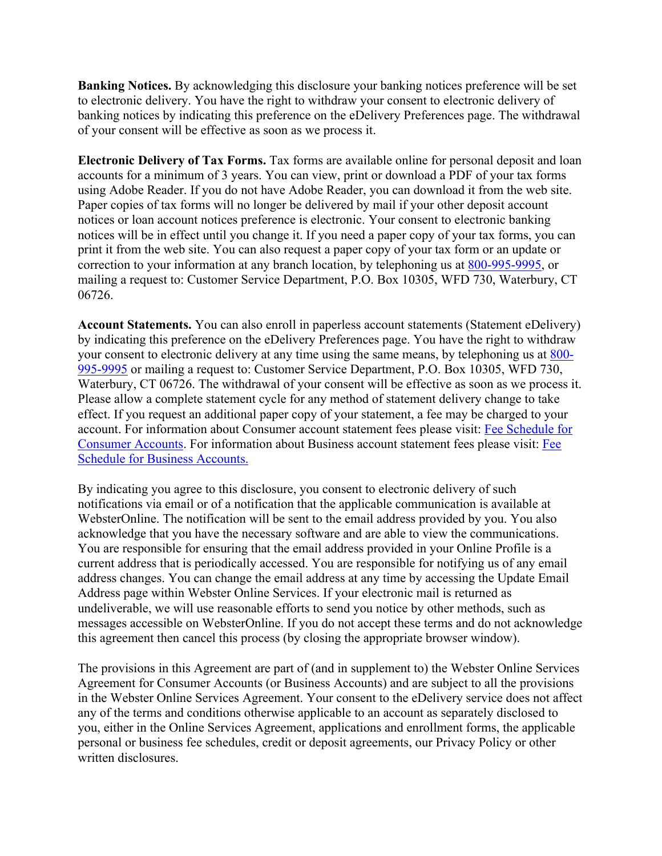**Banking Notices.** By acknowledging this disclosure your banking notices preference will be set to electronic delivery. You have the right to withdraw your consent to electronic delivery of banking notices by indicating this preference on the eDelivery Preferences page. The withdrawal of your consent will be effective as soon as we process it.

**Electronic Delivery of Tax Forms.** Tax forms are available online for personal deposit and loan accounts for a minimum of 3 years. You can view, print or download a PDF of your tax forms using Adobe Reader. If you do not have Adobe Reader, you can download it from the web site. Paper copies of tax forms will no longer be delivered by mail if your other deposit account notices or loan account notices preference is electronic. Your consent to electronic banking notices will be in effect until you change it. If you need a paper copy of your tax forms, you can print it from the web site. You can also request a paper copy of your tax form or an update or correction to your information at any branch location, by telephoning us at 800-995-9995, or mailing a request to: Customer Service Department, P.O. Box 10305, WFD 730, Waterbury, CT 06726.

**Account Statements.** You can also enroll in paperless account statements (Statement eDelivery) by indicating this preference on the eDelivery Preferences page. You have the right to withdraw your consent to electronic delivery at any time using the same means, by telephoning us at 800- 995-9995 or mailing a request to: Customer Service Department, P.O. Box 10305, WFD 730, Waterbury, CT 06726. The withdrawal of your consent will be effective as soon as we process it. Please allow a complete statement cycle for any method of statement delivery change to take effect. If you request an additional paper copy of your statement, a fee may be charged to your account. For information about Consumer account statement fees please visit: Fee Schedule for Consumer Accounts. For information about Business account statement fees please visit: Fee Schedule for Business Accounts.

By indicating you agree to this disclosure, you consent to electronic delivery of such notifications via email or of a notification that the applicable communication is available at WebsterOnline. The notification will be sent to the email address provided by you. You also acknowledge that you have the necessary software and are able to view the communications. You are responsible for ensuring that the email address provided in your Online Profile is a current address that is periodically accessed. You are responsible for notifying us of any email address changes. You can change the email address at any time by accessing the Update Email Address page within Webster Online Services. If your electronic mail is returned as undeliverable, we will use reasonable efforts to send you notice by other methods, such as messages accessible on WebsterOnline. If you do not accept these terms and do not acknowledge this agreement then cancel this process (by closing the appropriate browser window).

The provisions in this Agreement are part of (and in supplement to) the Webster Online Services Agreement for Consumer Accounts (or Business Accounts) and are subject to all the provisions in the Webster Online Services Agreement. Your consent to the eDelivery service does not affect any of the terms and conditions otherwise applicable to an account as separately disclosed to you, either in the Online Services Agreement, applications and enrollment forms, the applicable personal or business fee schedules, credit or deposit agreements, our Privacy Policy or other written disclosures.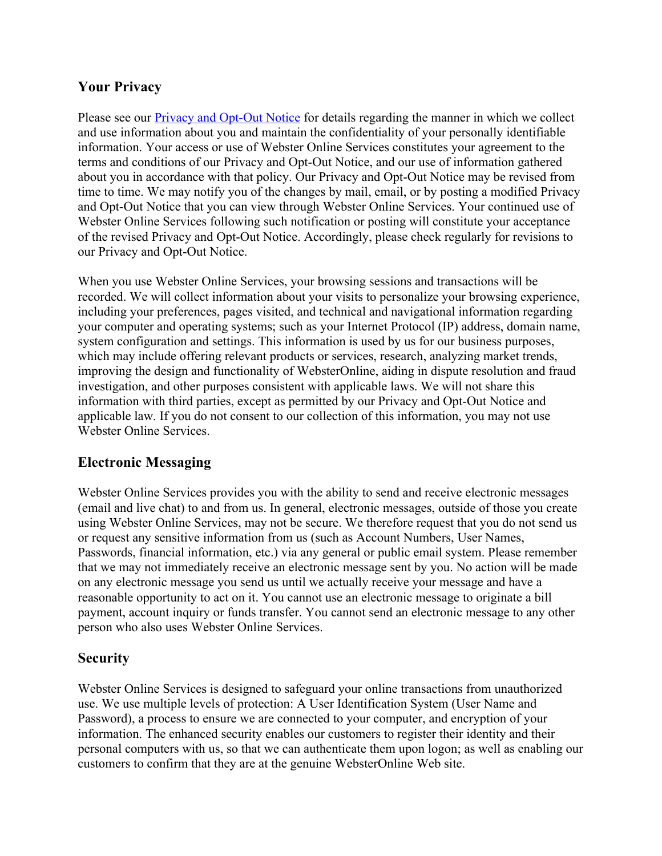## **Your Privacy**

Please see our **Privacy and Opt-Out Notice** for details regarding the manner in which we collect and use information about you and maintain the confidentiality of your personally identifiable information. Your access or use of Webster Online Services constitutes your agreement to the terms and conditions of our Privacy and Opt-Out Notice, and our use of information gathered about you in accordance with that policy. Our Privacy and Opt-Out Notice may be revised from time to time. We may notify you of the changes by mail, email, or by posting a modified Privacy and Opt-Out Notice that you can view through Webster Online Services. Your continued use of Webster Online Services following such notification or posting will constitute your acceptance of the revised Privacy and Opt-Out Notice. Accordingly, please check regularly for revisions to our Privacy and Opt-Out Notice.

When you use Webster Online Services, your browsing sessions and transactions will be recorded. We will collect information about your visits to personalize your browsing experience, including your preferences, pages visited, and technical and navigational information regarding your computer and operating systems; such as your Internet Protocol (IP) address, domain name, system configuration and settings. This information is used by us for our business purposes, which may include offering relevant products or services, research, analyzing market trends, improving the design and functionality of WebsterOnline, aiding in dispute resolution and fraud investigation, and other purposes consistent with applicable laws. We will not share this information with third parties, except as permitted by our Privacy and Opt-Out Notice and applicable law. If you do not consent to our collection of this information, you may not use Webster Online Services.

## **Electronic Messaging**

Webster Online Services provides you with the ability to send and receive electronic messages (email and live chat) to and from us. In general, electronic messages, outside of those you create using Webster Online Services, may not be secure. We therefore request that you do not send us or request any sensitive information from us (such as Account Numbers, User Names, Passwords, financial information, etc.) via any general or public email system. Please remember that we may not immediately receive an electronic message sent by you. No action will be made on any electronic message you send us until we actually receive your message and have a reasonable opportunity to act on it. You cannot use an electronic message to originate a bill payment, account inquiry or funds transfer. You cannot send an electronic message to any other person who also uses Webster Online Services.

## **Security**

Webster Online Services is designed to safeguard your online transactions from unauthorized use. We use multiple levels of protection: A User Identification System (User Name and Password), a process to ensure we are connected to your computer, and encryption of your information. The enhanced security enables our customers to register their identity and their personal computers with us, so that we can authenticate them upon logon; as well as enabling our customers to confirm that they are at the genuine WebsterOnline Web site.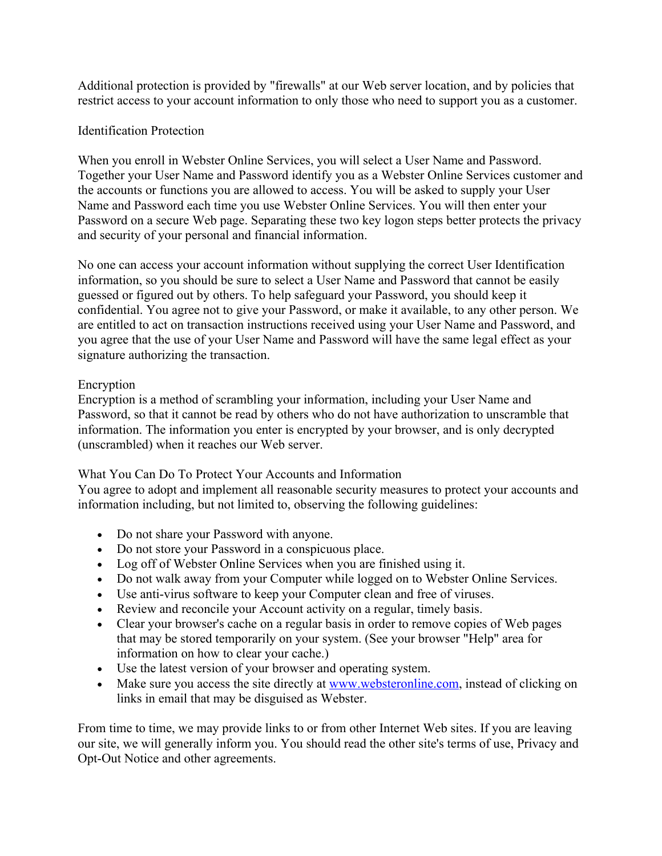Additional protection is provided by "firewalls" at our Web server location, and by policies that restrict access to your account information to only those who need to support you as a customer.

#### Identification Protection

When you enroll in Webster Online Services, you will select a User Name and Password. Together your User Name and Password identify you as a Webster Online Services customer and the accounts or functions you are allowed to access. You will be asked to supply your User Name and Password each time you use Webster Online Services. You will then enter your Password on a secure Web page. Separating these two key logon steps better protects the privacy and security of your personal and financial information.

No one can access your account information without supplying the correct User Identification information, so you should be sure to select a User Name and Password that cannot be easily guessed or figured out by others. To help safeguard your Password, you should keep it confidential. You agree not to give your Password, or make it available, to any other person. We are entitled to act on transaction instructions received using your User Name and Password, and you agree that the use of your User Name and Password will have the same legal effect as your signature authorizing the transaction.

#### Encryption

Encryption is a method of scrambling your information, including your User Name and Password, so that it cannot be read by others who do not have authorization to unscramble that information. The information you enter is encrypted by your browser, and is only decrypted (unscrambled) when it reaches our Web server.

#### What You Can Do To Protect Your Accounts and Information

You agree to adopt and implement all reasonable security measures to protect your accounts and information including, but not limited to, observing the following guidelines:

- Do not share your Password with anyone.
- Do not store your Password in a conspicuous place.
- Log off of Webster Online Services when you are finished using it.
- Do not walk away from your Computer while logged on to Webster Online Services.
- Use anti-virus software to keep your Computer clean and free of viruses.
- Review and reconcile your Account activity on a regular, timely basis.
- Clear your browser's cache on a regular basis in order to remove copies of Web pages that may be stored temporarily on your system. (See your browser "Help" area for information on how to clear your cache.)
- Use the latest version of your browser and operating system.
- Make sure you access the site directly at www.websteronline.com, instead of clicking on links in email that may be disguised as Webster.

From time to time, we may provide links to or from other Internet Web sites. If you are leaving our site, we will generally inform you. You should read the other site's terms of use, Privacy and Opt-Out Notice and other agreements.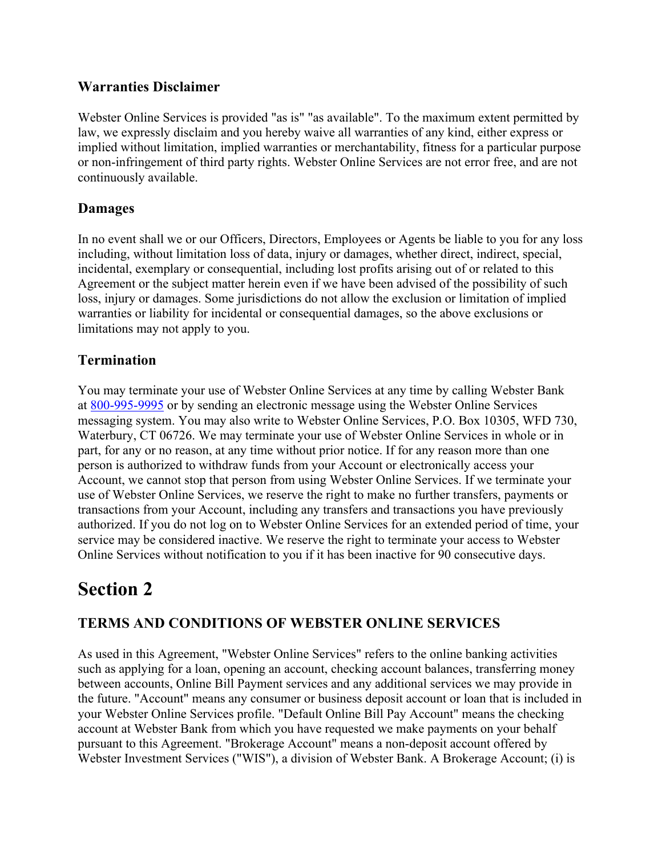## **Warranties Disclaimer**

Webster Online Services is provided "as is" "as available". To the maximum extent permitted by law, we expressly disclaim and you hereby waive all warranties of any kind, either express or implied without limitation, implied warranties or merchantability, fitness for a particular purpose or non-infringement of third party rights. Webster Online Services are not error free, and are not continuously available.

## **Damages**

In no event shall we or our Officers, Directors, Employees or Agents be liable to you for any loss including, without limitation loss of data, injury or damages, whether direct, indirect, special, incidental, exemplary or consequential, including lost profits arising out of or related to this Agreement or the subject matter herein even if we have been advised of the possibility of such loss, injury or damages. Some jurisdictions do not allow the exclusion or limitation of implied warranties or liability for incidental or consequential damages, so the above exclusions or limitations may not apply to you.

## **Termination**

You may terminate your use of Webster Online Services at any time by calling Webster Bank at 800-995-9995 or by sending an electronic message using the Webster Online Services messaging system. You may also write to Webster Online Services, P.O. Box 10305, WFD 730, Waterbury, CT 06726. We may terminate your use of Webster Online Services in whole or in part, for any or no reason, at any time without prior notice. If for any reason more than one person is authorized to withdraw funds from your Account or electronically access your Account, we cannot stop that person from using Webster Online Services. If we terminate your use of Webster Online Services, we reserve the right to make no further transfers, payments or transactions from your Account, including any transfers and transactions you have previously authorized. If you do not log on to Webster Online Services for an extended period of time, your service may be considered inactive. We reserve the right to terminate your access to Webster Online Services without notification to you if it has been inactive for 90 consecutive days.

## **Section 2**

## **TERMS AND CONDITIONS OF WEBSTER ONLINE SERVICES**

As used in this Agreement, "Webster Online Services" refers to the online banking activities such as applying for a loan, opening an account, checking account balances, transferring money between accounts, Online Bill Payment services and any additional services we may provide in the future. "Account" means any consumer or business deposit account or loan that is included in your Webster Online Services profile. "Default Online Bill Pay Account" means the checking account at Webster Bank from which you have requested we make payments on your behalf pursuant to this Agreement. "Brokerage Account" means a non-deposit account offered by Webster Investment Services ("WIS"), a division of Webster Bank. A Brokerage Account; (i) is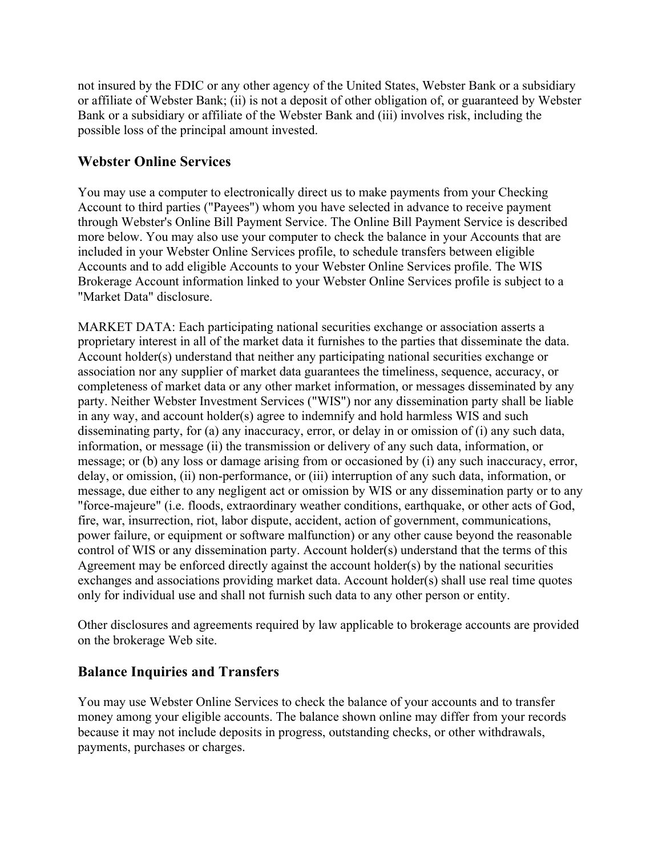not insured by the FDIC or any other agency of the United States, Webster Bank or a subsidiary or affiliate of Webster Bank; (ii) is not a deposit of other obligation of, or guaranteed by Webster Bank or a subsidiary or affiliate of the Webster Bank and (iii) involves risk, including the possible loss of the principal amount invested.

## **Webster Online Services**

You may use a computer to electronically direct us to make payments from your Checking Account to third parties ("Payees") whom you have selected in advance to receive payment through Webster's Online Bill Payment Service. The Online Bill Payment Service is described more below. You may also use your computer to check the balance in your Accounts that are included in your Webster Online Services profile, to schedule transfers between eligible Accounts and to add eligible Accounts to your Webster Online Services profile. The WIS Brokerage Account information linked to your Webster Online Services profile is subject to a "Market Data" disclosure.

MARKET DATA: Each participating national securities exchange or association asserts a proprietary interest in all of the market data it furnishes to the parties that disseminate the data. Account holder(s) understand that neither any participating national securities exchange or association nor any supplier of market data guarantees the timeliness, sequence, accuracy, or completeness of market data or any other market information, or messages disseminated by any party. Neither Webster Investment Services ("WIS") nor any dissemination party shall be liable in any way, and account holder(s) agree to indemnify and hold harmless WIS and such disseminating party, for (a) any inaccuracy, error, or delay in or omission of (i) any such data, information, or message (ii) the transmission or delivery of any such data, information, or message; or (b) any loss or damage arising from or occasioned by (i) any such inaccuracy, error, delay, or omission, (ii) non-performance, or (iii) interruption of any such data, information, or message, due either to any negligent act or omission by WIS or any dissemination party or to any "force-majeure" (i.e. floods, extraordinary weather conditions, earthquake, or other acts of God, fire, war, insurrection, riot, labor dispute, accident, action of government, communications, power failure, or equipment or software malfunction) or any other cause beyond the reasonable control of WIS or any dissemination party. Account holder(s) understand that the terms of this Agreement may be enforced directly against the account holder(s) by the national securities exchanges and associations providing market data. Account holder(s) shall use real time quotes only for individual use and shall not furnish such data to any other person or entity.

Other disclosures and agreements required by law applicable to brokerage accounts are provided on the brokerage Web site.

## **Balance Inquiries and Transfers**

You may use Webster Online Services to check the balance of your accounts and to transfer money among your eligible accounts. The balance shown online may differ from your records because it may not include deposits in progress, outstanding checks, or other withdrawals, payments, purchases or charges.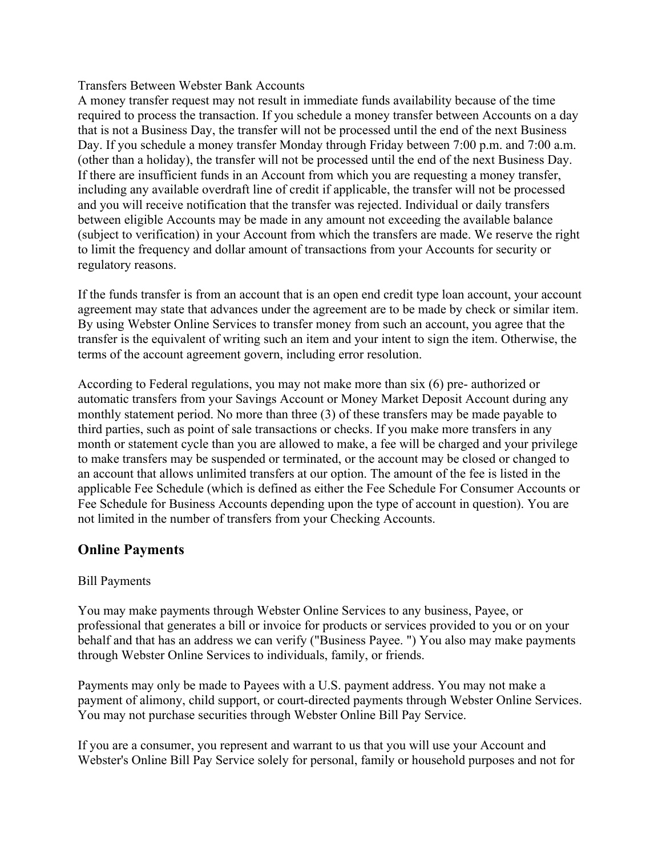#### Transfers Between Webster Bank Accounts

A money transfer request may not result in immediate funds availability because of the time required to process the transaction. If you schedule a money transfer between Accounts on a day that is not a Business Day, the transfer will not be processed until the end of the next Business Day. If you schedule a money transfer Monday through Friday between 7:00 p.m. and 7:00 a.m. (other than a holiday), the transfer will not be processed until the end of the next Business Day. If there are insufficient funds in an Account from which you are requesting a money transfer, including any available overdraft line of credit if applicable, the transfer will not be processed and you will receive notification that the transfer was rejected. Individual or daily transfers between eligible Accounts may be made in any amount not exceeding the available balance (subject to verification) in your Account from which the transfers are made. We reserve the right to limit the frequency and dollar amount of transactions from your Accounts for security or regulatory reasons.

If the funds transfer is from an account that is an open end credit type loan account, your account agreement may state that advances under the agreement are to be made by check or similar item. By using Webster Online Services to transfer money from such an account, you agree that the transfer is the equivalent of writing such an item and your intent to sign the item. Otherwise, the terms of the account agreement govern, including error resolution.

According to Federal regulations, you may not make more than six (6) pre- authorized or automatic transfers from your Savings Account or Money Market Deposit Account during any monthly statement period. No more than three (3) of these transfers may be made payable to third parties, such as point of sale transactions or checks. If you make more transfers in any month or statement cycle than you are allowed to make, a fee will be charged and your privilege to make transfers may be suspended or terminated, or the account may be closed or changed to an account that allows unlimited transfers at our option. The amount of the fee is listed in the applicable Fee Schedule (which is defined as either the Fee Schedule For Consumer Accounts or Fee Schedule for Business Accounts depending upon the type of account in question). You are not limited in the number of transfers from your Checking Accounts.

#### **Online Payments**

#### Bill Payments

You may make payments through Webster Online Services to any business, Payee, or professional that generates a bill or invoice for products or services provided to you or on your behalf and that has an address we can verify ("Business Payee. ") You also may make payments through Webster Online Services to individuals, family, or friends.

Payments may only be made to Payees with a U.S. payment address. You may not make a payment of alimony, child support, or court-directed payments through Webster Online Services. You may not purchase securities through Webster Online Bill Pay Service.

If you are a consumer, you represent and warrant to us that you will use your Account and Webster's Online Bill Pay Service solely for personal, family or household purposes and not for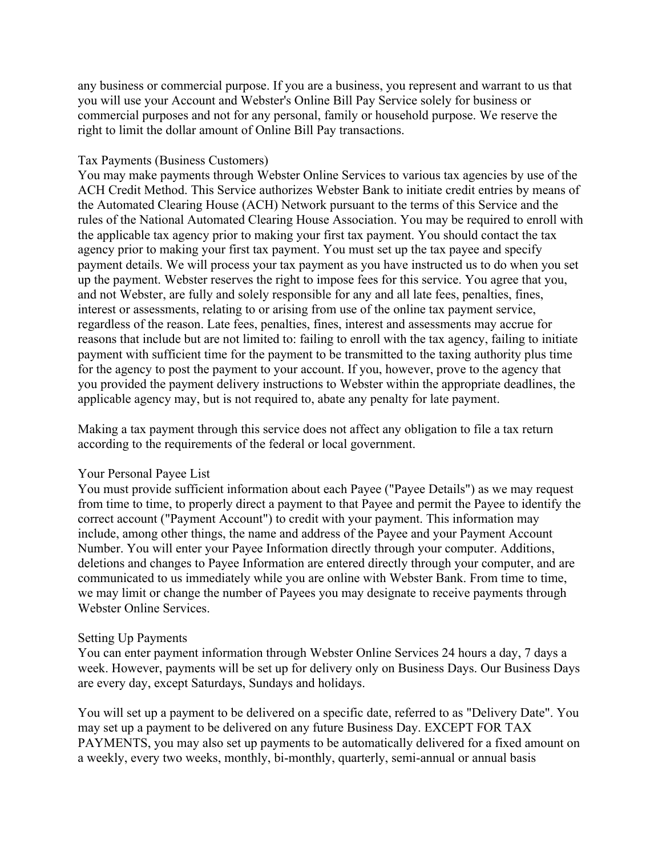any business or commercial purpose. If you are a business, you represent and warrant to us that you will use your Account and Webster's Online Bill Pay Service solely for business or commercial purposes and not for any personal, family or household purpose. We reserve the right to limit the dollar amount of Online Bill Pay transactions.

#### Tax Payments (Business Customers)

You may make payments through Webster Online Services to various tax agencies by use of the ACH Credit Method. This Service authorizes Webster Bank to initiate credit entries by means of the Automated Clearing House (ACH) Network pursuant to the terms of this Service and the rules of the National Automated Clearing House Association. You may be required to enroll with the applicable tax agency prior to making your first tax payment. You should contact the tax agency prior to making your first tax payment. You must set up the tax payee and specify payment details. We will process your tax payment as you have instructed us to do when you set up the payment. Webster reserves the right to impose fees for this service. You agree that you, and not Webster, are fully and solely responsible for any and all late fees, penalties, fines, interest or assessments, relating to or arising from use of the online tax payment service, regardless of the reason. Late fees, penalties, fines, interest and assessments may accrue for reasons that include but are not limited to: failing to enroll with the tax agency, failing to initiate payment with sufficient time for the payment to be transmitted to the taxing authority plus time for the agency to post the payment to your account. If you, however, prove to the agency that you provided the payment delivery instructions to Webster within the appropriate deadlines, the applicable agency may, but is not required to, abate any penalty for late payment.

Making a tax payment through this service does not affect any obligation to file a tax return according to the requirements of the federal or local government.

#### Your Personal Payee List

You must provide sufficient information about each Payee ("Payee Details") as we may request from time to time, to properly direct a payment to that Payee and permit the Payee to identify the correct account ("Payment Account") to credit with your payment. This information may include, among other things, the name and address of the Payee and your Payment Account Number. You will enter your Payee Information directly through your computer. Additions, deletions and changes to Payee Information are entered directly through your computer, and are communicated to us immediately while you are online with Webster Bank. From time to time, we may limit or change the number of Payees you may designate to receive payments through Webster Online Services.

#### Setting Up Payments

You can enter payment information through Webster Online Services 24 hours a day, 7 days a week. However, payments will be set up for delivery only on Business Days. Our Business Days are every day, except Saturdays, Sundays and holidays.

You will set up a payment to be delivered on a specific date, referred to as "Delivery Date". You may set up a payment to be delivered on any future Business Day. EXCEPT FOR TAX PAYMENTS, you may also set up payments to be automatically delivered for a fixed amount on a weekly, every two weeks, monthly, bi-monthly, quarterly, semi-annual or annual basis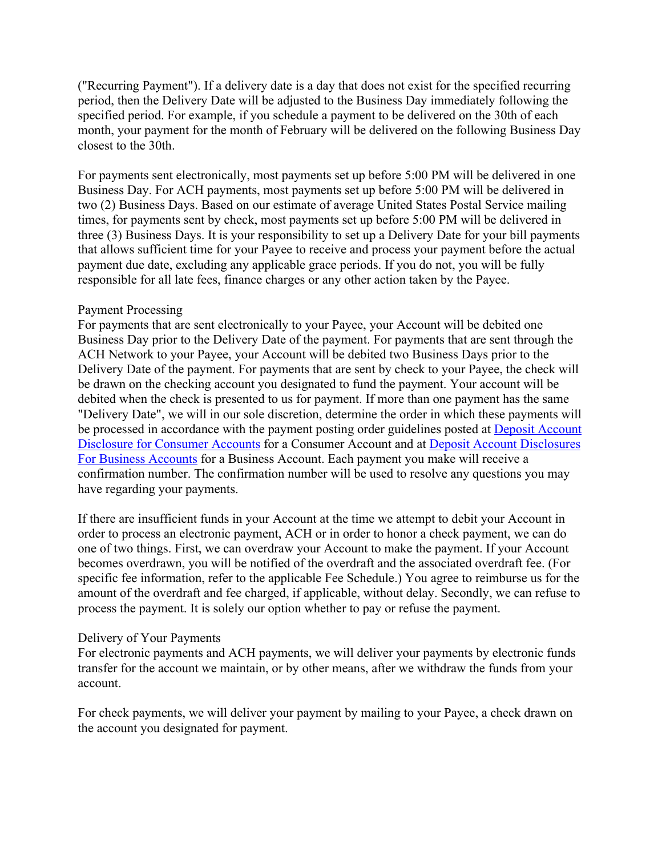("Recurring Payment"). If a delivery date is a day that does not exist for the specified recurring period, then the Delivery Date will be adjusted to the Business Day immediately following the specified period. For example, if you schedule a payment to be delivered on the 30th of each month, your payment for the month of February will be delivered on the following Business Day closest to the 30th.

For payments sent electronically, most payments set up before 5:00 PM will be delivered in one Business Day. For ACH payments, most payments set up before 5:00 PM will be delivered in two (2) Business Days. Based on our estimate of average United States Postal Service mailing times, for payments sent by check, most payments set up before 5:00 PM will be delivered in three (3) Business Days. It is your responsibility to set up a Delivery Date for your bill payments that allows sufficient time for your Payee to receive and process your payment before the actual payment due date, excluding any applicable grace periods. If you do not, you will be fully responsible for all late fees, finance charges or any other action taken by the Payee.

#### Payment Processing

For payments that are sent electronically to your Payee, your Account will be debited one Business Day prior to the Delivery Date of the payment. For payments that are sent through the ACH Network to your Payee, your Account will be debited two Business Days prior to the Delivery Date of the payment. For payments that are sent by check to your Payee, the check will be drawn on the checking account you designated to fund the payment. Your account will be debited when the check is presented to us for payment. If more than one payment has the same "Delivery Date", we will in our sole discretion, determine the order in which these payments will be processed in accordance with the payment posting order guidelines posted at Deposit Account Disclosure for Consumer Accounts for a Consumer Account and at Deposit Account Disclosures For Business Accounts for a Business Account. Each payment you make will receive a confirmation number. The confirmation number will be used to resolve any questions you may have regarding your payments.

If there are insufficient funds in your Account at the time we attempt to debit your Account in order to process an electronic payment, ACH or in order to honor a check payment, we can do one of two things. First, we can overdraw your Account to make the payment. If your Account becomes overdrawn, you will be notified of the overdraft and the associated overdraft fee. (For specific fee information, refer to the applicable Fee Schedule.) You agree to reimburse us for the amount of the overdraft and fee charged, if applicable, without delay. Secondly, we can refuse to process the payment. It is solely our option whether to pay or refuse the payment.

#### Delivery of Your Payments

For electronic payments and ACH payments, we will deliver your payments by electronic funds transfer for the account we maintain, or by other means, after we withdraw the funds from your account.

For check payments, we will deliver your payment by mailing to your Payee, a check drawn on the account you designated for payment.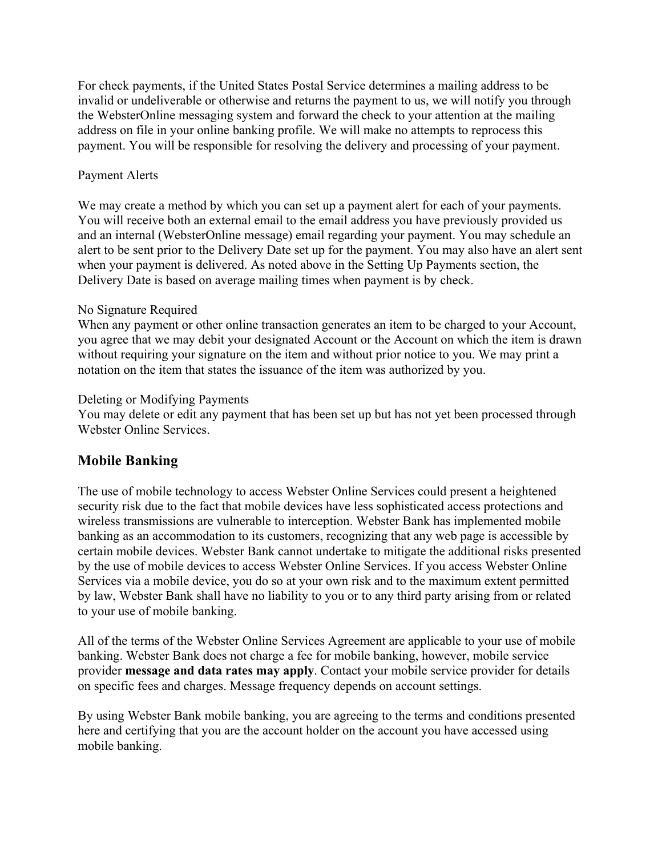For check payments, if the United States Postal Service determines a mailing address to be invalid or undeliverable or otherwise and returns the payment to us, we will notify you through the WebsterOnline messaging system and forward the check to your attention at the mailing address on file in your online banking profile. We will make no attempts to reprocess this payment. You will be responsible for resolving the delivery and processing of your payment.

#### Payment Alerts

We may create a method by which you can set up a payment alert for each of your payments. You will receive both an external email to the email address you have previously provided us and an internal (WebsterOnline message) email regarding your payment. You may schedule an alert to be sent prior to the Delivery Date set up for the payment. You may also have an alert sent when your payment is delivered. As noted above in the Setting Up Payments section, the Delivery Date is based on average mailing times when payment is by check.

#### No Signature Required

When any payment or other online transaction generates an item to be charged to your Account, you agree that we may debit your designated Account or the Account on which the item is drawn without requiring your signature on the item and without prior notice to you. We may print a notation on the item that states the issuance of the item was authorized by you.

#### Deleting or Modifying Payments

You may delete or edit any payment that has been set up but has not yet been processed through Webster Online Services.

## **Mobile Banking**

The use of mobile technology to access Webster Online Services could present a heightened security risk due to the fact that mobile devices have less sophisticated access protections and wireless transmissions are vulnerable to interception. Webster Bank has implemented mobile banking as an accommodation to its customers, recognizing that any web page is accessible by certain mobile devices. Webster Bank cannot undertake to mitigate the additional risks presented by the use of mobile devices to access Webster Online Services. If you access Webster Online Services via a mobile device, you do so at your own risk and to the maximum extent permitted by law, Webster Bank shall have no liability to you or to any third party arising from or related to your use of mobile banking.

All of the terms of the Webster Online Services Agreement are applicable to your use of mobile banking. Webster Bank does not charge a fee for mobile banking, however, mobile service provider **message and data rates may apply**. Contact your mobile service provider for details on specific fees and charges. Message frequency depends on account settings.

By using Webster Bank mobile banking, you are agreeing to the terms and conditions presented here and certifying that you are the account holder on the account you have accessed using mobile banking.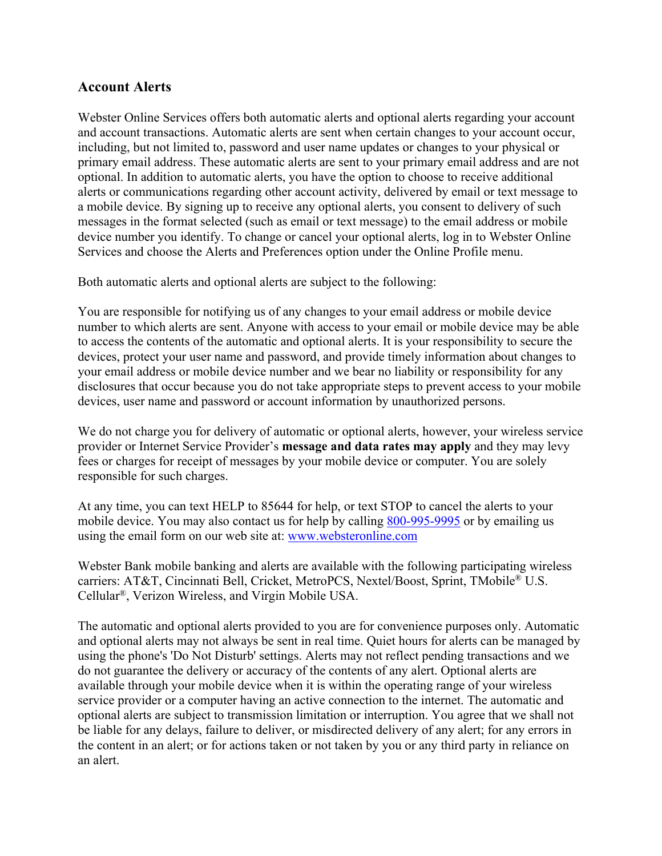#### **Account Alerts**

Webster Online Services offers both automatic alerts and optional alerts regarding your account and account transactions. Automatic alerts are sent when certain changes to your account occur, including, but not limited to, password and user name updates or changes to your physical or primary email address. These automatic alerts are sent to your primary email address and are not optional. In addition to automatic alerts, you have the option to choose to receive additional alerts or communications regarding other account activity, delivered by email or text message to a mobile device. By signing up to receive any optional alerts, you consent to delivery of such messages in the format selected (such as email or text message) to the email address or mobile device number you identify. To change or cancel your optional alerts, log in to Webster Online Services and choose the Alerts and Preferences option under the Online Profile menu.

Both automatic alerts and optional alerts are subject to the following:

You are responsible for notifying us of any changes to your email address or mobile device number to which alerts are sent. Anyone with access to your email or mobile device may be able to access the contents of the automatic and optional alerts. It is your responsibility to secure the devices, protect your user name and password, and provide timely information about changes to your email address or mobile device number and we bear no liability or responsibility for any disclosures that occur because you do not take appropriate steps to prevent access to your mobile devices, user name and password or account information by unauthorized persons.

We do not charge you for delivery of automatic or optional alerts, however, your wireless service provider or Internet Service Provider's **message and data rates may apply** and they may levy fees or charges for receipt of messages by your mobile device or computer. You are solely responsible for such charges.

At any time, you can text HELP to 85644 for help, or text STOP to cancel the alerts to your mobile device. You may also contact us for help by calling 800-995-9995 or by emailing us using the email form on our web site at: www.websteronline.com

Webster Bank mobile banking and alerts are available with the following participating wireless carriers: AT&T, Cincinnati Bell, Cricket, MetroPCS, Nextel/Boost, Sprint, TMobile® U.S. Cellular®, Verizon Wireless, and Virgin Mobile USA.

The automatic and optional alerts provided to you are for convenience purposes only. Automatic and optional alerts may not always be sent in real time. Quiet hours for alerts can be managed by using the phone's 'Do Not Disturb' settings. Alerts may not reflect pending transactions and we do not guarantee the delivery or accuracy of the contents of any alert. Optional alerts are available through your mobile device when it is within the operating range of your wireless service provider or a computer having an active connection to the internet. The automatic and optional alerts are subject to transmission limitation or interruption. You agree that we shall not be liable for any delays, failure to deliver, or misdirected delivery of any alert; for any errors in the content in an alert; or for actions taken or not taken by you or any third party in reliance on an alert.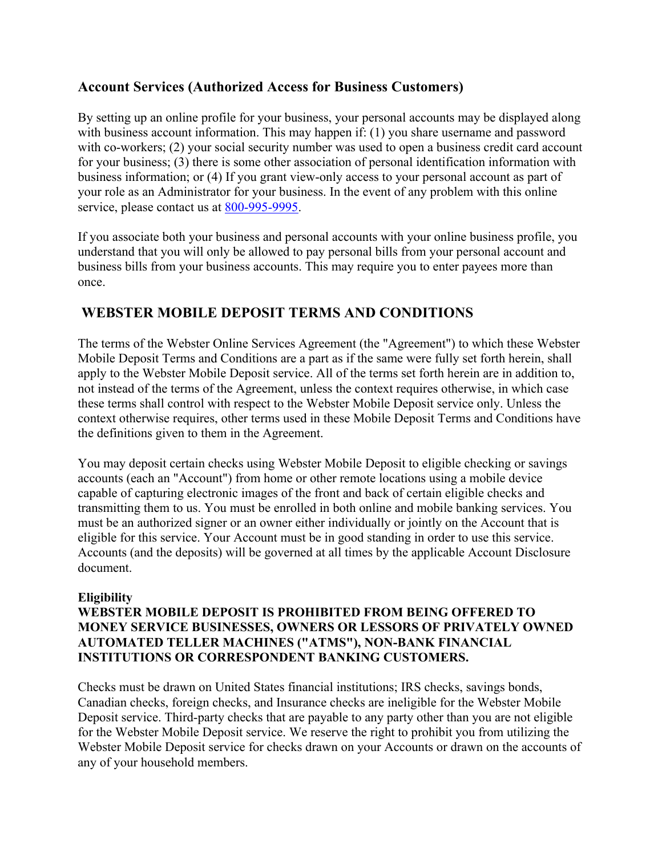## **Account Services (Authorized Access for Business Customers)**

By setting up an online profile for your business, your personal accounts may be displayed along with business account information. This may happen if: (1) you share username and password with co-workers; (2) your social security number was used to open a business credit card account for your business; (3) there is some other association of personal identification information with business information; or (4) If you grant view-only access to your personal account as part of your role as an Administrator for your business. In the event of any problem with this online service, please contact us at 800-995-9995.

If you associate both your business and personal accounts with your online business profile, you understand that you will only be allowed to pay personal bills from your personal account and business bills from your business accounts. This may require you to enter payees more than once.

## **WEBSTER MOBILE DEPOSIT TERMS AND CONDITIONS**

The terms of the Webster Online Services Agreement (the "Agreement") to which these Webster Mobile Deposit Terms and Conditions are a part as if the same were fully set forth herein, shall apply to the Webster Mobile Deposit service. All of the terms set forth herein are in addition to, not instead of the terms of the Agreement, unless the context requires otherwise, in which case these terms shall control with respect to the Webster Mobile Deposit service only. Unless the context otherwise requires, other terms used in these Mobile Deposit Terms and Conditions have the definitions given to them in the Agreement.

You may deposit certain checks using Webster Mobile Deposit to eligible checking or savings accounts (each an "Account") from home or other remote locations using a mobile device capable of capturing electronic images of the front and back of certain eligible checks and transmitting them to us. You must be enrolled in both online and mobile banking services. You must be an authorized signer or an owner either individually or jointly on the Account that is eligible for this service. Your Account must be in good standing in order to use this service. Accounts (and the deposits) will be governed at all times by the applicable Account Disclosure document.

#### **Eligibility**

### **WEBSTER MOBILE DEPOSIT IS PROHIBITED FROM BEING OFFERED TO MONEY SERVICE BUSINESSES, OWNERS OR LESSORS OF PRIVATELY OWNED AUTOMATED TELLER MACHINES ("ATMS"), NON-BANK FINANCIAL INSTITUTIONS OR CORRESPONDENT BANKING CUSTOMERS.**

Checks must be drawn on United States financial institutions; IRS checks, savings bonds, Canadian checks, foreign checks, and Insurance checks are ineligible for the Webster Mobile Deposit service. Third-party checks that are payable to any party other than you are not eligible for the Webster Mobile Deposit service. We reserve the right to prohibit you from utilizing the Webster Mobile Deposit service for checks drawn on your Accounts or drawn on the accounts of any of your household members.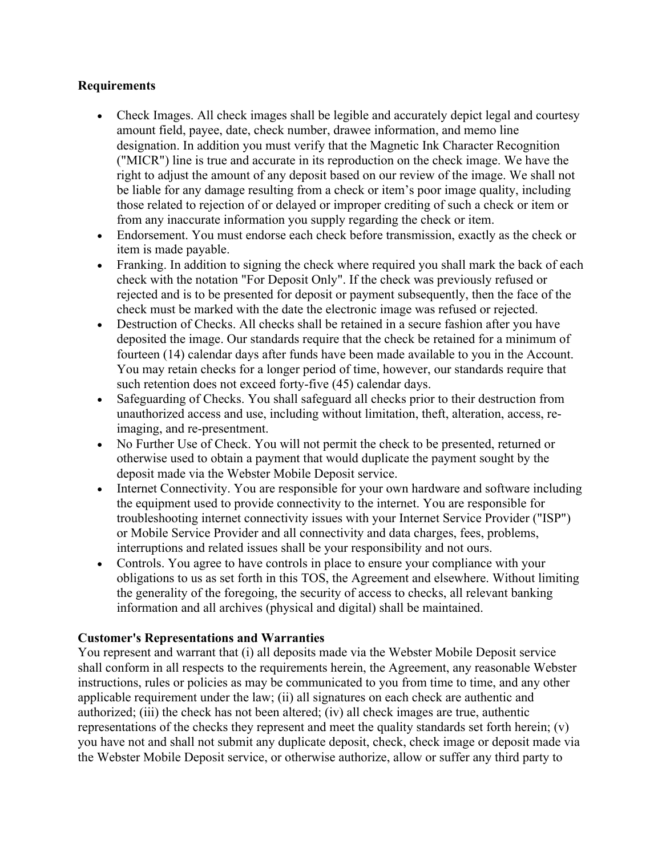#### **Requirements**

- Check Images. All check images shall be legible and accurately depict legal and courtesy amount field, payee, date, check number, drawee information, and memo line designation. In addition you must verify that the Magnetic Ink Character Recognition ("MICR") line is true and accurate in its reproduction on the check image. We have the right to adjust the amount of any deposit based on our review of the image. We shall not be liable for any damage resulting from a check or item's poor image quality, including those related to rejection of or delayed or improper crediting of such a check or item or from any inaccurate information you supply regarding the check or item.
- Endorsement. You must endorse each check before transmission, exactly as the check or item is made payable.
- Franking. In addition to signing the check where required you shall mark the back of each check with the notation "For Deposit Only". If the check was previously refused or rejected and is to be presented for deposit or payment subsequently, then the face of the check must be marked with the date the electronic image was refused or rejected.
- Destruction of Checks. All checks shall be retained in a secure fashion after you have deposited the image. Our standards require that the check be retained for a minimum of fourteen (14) calendar days after funds have been made available to you in the Account. You may retain checks for a longer period of time, however, our standards require that such retention does not exceed forty-five (45) calendar days.
- Safeguarding of Checks. You shall safeguard all checks prior to their destruction from unauthorized access and use, including without limitation, theft, alteration, access, reimaging, and re-presentment.
- No Further Use of Check. You will not permit the check to be presented, returned or otherwise used to obtain a payment that would duplicate the payment sought by the deposit made via the Webster Mobile Deposit service.
- Internet Connectivity. You are responsible for your own hardware and software including the equipment used to provide connectivity to the internet. You are responsible for troubleshooting internet connectivity issues with your Internet Service Provider ("ISP") or Mobile Service Provider and all connectivity and data charges, fees, problems, interruptions and related issues shall be your responsibility and not ours.
- Controls. You agree to have controls in place to ensure your compliance with your obligations to us as set forth in this TOS, the Agreement and elsewhere. Without limiting the generality of the foregoing, the security of access to checks, all relevant banking information and all archives (physical and digital) shall be maintained.

#### **Customer's Representations and Warranties**

You represent and warrant that (i) all deposits made via the Webster Mobile Deposit service shall conform in all respects to the requirements herein, the Agreement, any reasonable Webster instructions, rules or policies as may be communicated to you from time to time, and any other applicable requirement under the law; (ii) all signatures on each check are authentic and authorized; (iii) the check has not been altered; (iv) all check images are true, authentic representations of the checks they represent and meet the quality standards set forth herein; (v) you have not and shall not submit any duplicate deposit, check, check image or deposit made via the Webster Mobile Deposit service, or otherwise authorize, allow or suffer any third party to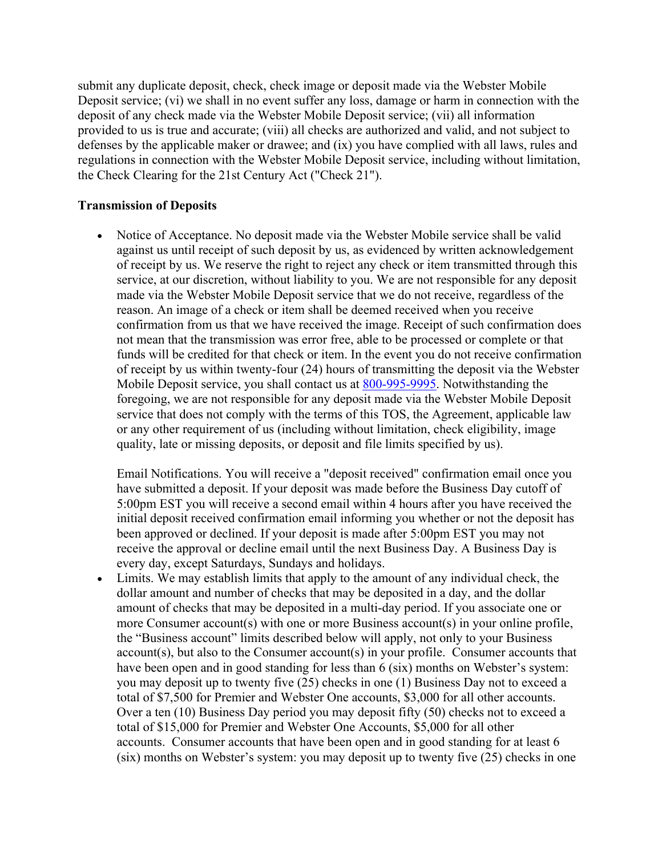submit any duplicate deposit, check, check image or deposit made via the Webster Mobile Deposit service; (vi) we shall in no event suffer any loss, damage or harm in connection with the deposit of any check made via the Webster Mobile Deposit service; (vii) all information provided to us is true and accurate; (viii) all checks are authorized and valid, and not subject to defenses by the applicable maker or drawee; and (ix) you have complied with all laws, rules and regulations in connection with the Webster Mobile Deposit service, including without limitation, the Check Clearing for the 21st Century Act ("Check 21").

#### **Transmission of Deposits**

• Notice of Acceptance. No deposit made via the Webster Mobile service shall be valid against us until receipt of such deposit by us, as evidenced by written acknowledgement of receipt by us. We reserve the right to reject any check or item transmitted through this service, at our discretion, without liability to you. We are not responsible for any deposit made via the Webster Mobile Deposit service that we do not receive, regardless of the reason. An image of a check or item shall be deemed received when you receive confirmation from us that we have received the image. Receipt of such confirmation does not mean that the transmission was error free, able to be processed or complete or that funds will be credited for that check or item. In the event you do not receive confirmation of receipt by us within twenty-four (24) hours of transmitting the deposit via the Webster Mobile Deposit service, you shall contact us at 800-995-9995. Notwithstanding the foregoing, we are not responsible for any deposit made via the Webster Mobile Deposit service that does not comply with the terms of this TOS, the Agreement, applicable law or any other requirement of us (including without limitation, check eligibility, image quality, late or missing deposits, or deposit and file limits specified by us).

Email Notifications. You will receive a "deposit received" confirmation email once you have submitted a deposit. If your deposit was made before the Business Day cutoff of 5:00pm EST you will receive a second email within 4 hours after you have received the initial deposit received confirmation email informing you whether or not the deposit has been approved or declined. If your deposit is made after 5:00pm EST you may not receive the approval or decline email until the next Business Day. A Business Day is every day, except Saturdays, Sundays and holidays.

Limits. We may establish limits that apply to the amount of any individual check, the dollar amount and number of checks that may be deposited in a day, and the dollar amount of checks that may be deposited in a multi-day period. If you associate one or more Consumer account(s) with one or more Business account(s) in your online profile, the "Business account" limits described below will apply, not only to your Business account(s), but also to the Consumer account(s) in your profile. Consumer accounts that have been open and in good standing for less than 6 (six) months on Webster's system: you may deposit up to twenty five (25) checks in one (1) Business Day not to exceed a total of \$7,500 for Premier and Webster One accounts, \$3,000 for all other accounts. Over a ten (10) Business Day period you may deposit fifty (50) checks not to exceed a total of \$15,000 for Premier and Webster One Accounts, \$5,000 for all other accounts. Consumer accounts that have been open and in good standing for at least 6 (six) months on Webster's system: you may deposit up to twenty five (25) checks in one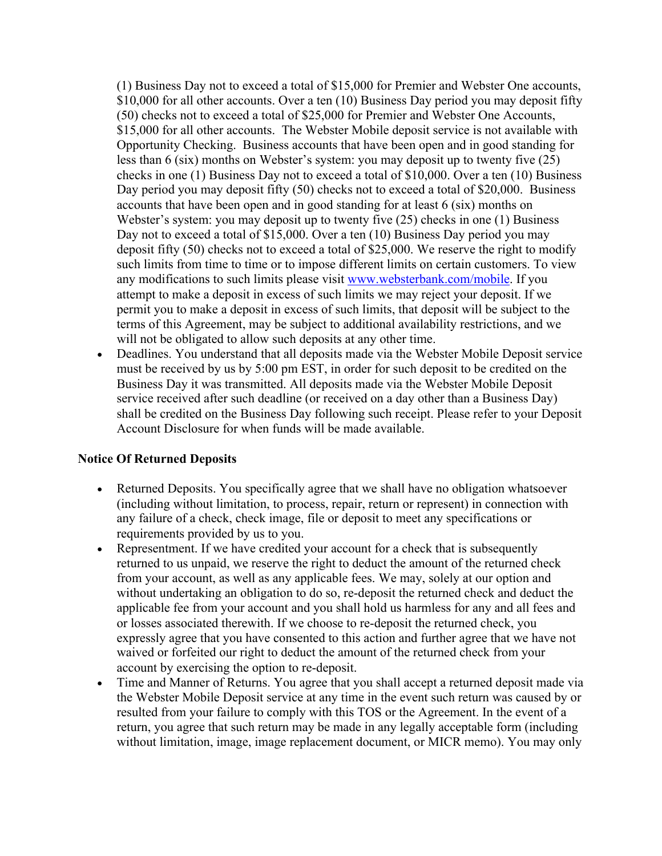(1) Business Day not to exceed a total of \$15,000 for Premier and Webster One accounts, \$10,000 for all other accounts. Over a ten (10) Business Day period you may deposit fifty (50) checks not to exceed a total of \$25,000 for Premier and Webster One Accounts, \$15,000 for all other accounts. The Webster Mobile deposit service is not available with Opportunity Checking. Business accounts that have been open and in good standing for less than 6 (six) months on Webster's system: you may deposit up to twenty five (25) checks in one (1) Business Day not to exceed a total of \$10,000. Over a ten (10) Business Day period you may deposit fifty (50) checks not to exceed a total of \$20,000. Business accounts that have been open and in good standing for at least 6 (six) months on Webster's system: you may deposit up to twenty five (25) checks in one (1) Business Day not to exceed a total of \$15,000. Over a ten (10) Business Day period you may deposit fifty (50) checks not to exceed a total of \$25,000. We reserve the right to modify such limits from time to time or to impose different limits on certain customers. To view any modifications to such limits please visit www.websterbank.com/mobile. If you attempt to make a deposit in excess of such limits we may reject your deposit. If we permit you to make a deposit in excess of such limits, that deposit will be subject to the terms of this Agreement, may be subject to additional availability restrictions, and we will not be obligated to allow such deposits at any other time.

• Deadlines. You understand that all deposits made via the Webster Mobile Deposit service must be received by us by 5:00 pm EST, in order for such deposit to be credited on the Business Day it was transmitted. All deposits made via the Webster Mobile Deposit service received after such deadline (or received on a day other than a Business Day) shall be credited on the Business Day following such receipt. Please refer to your Deposit Account Disclosure for when funds will be made available.

#### **Notice Of Returned Deposits**

- Returned Deposits. You specifically agree that we shall have no obligation whatsoever (including without limitation, to process, repair, return or represent) in connection with any failure of a check, check image, file or deposit to meet any specifications or requirements provided by us to you.
- Representment. If we have credited your account for a check that is subsequently returned to us unpaid, we reserve the right to deduct the amount of the returned check from your account, as well as any applicable fees. We may, solely at our option and without undertaking an obligation to do so, re-deposit the returned check and deduct the applicable fee from your account and you shall hold us harmless for any and all fees and or losses associated therewith. If we choose to re-deposit the returned check, you expressly agree that you have consented to this action and further agree that we have not waived or forfeited our right to deduct the amount of the returned check from your account by exercising the option to re-deposit.
- Time and Manner of Returns. You agree that you shall accept a returned deposit made via the Webster Mobile Deposit service at any time in the event such return was caused by or resulted from your failure to comply with this TOS or the Agreement. In the event of a return, you agree that such return may be made in any legally acceptable form (including without limitation, image, image replacement document, or MICR memo). You may only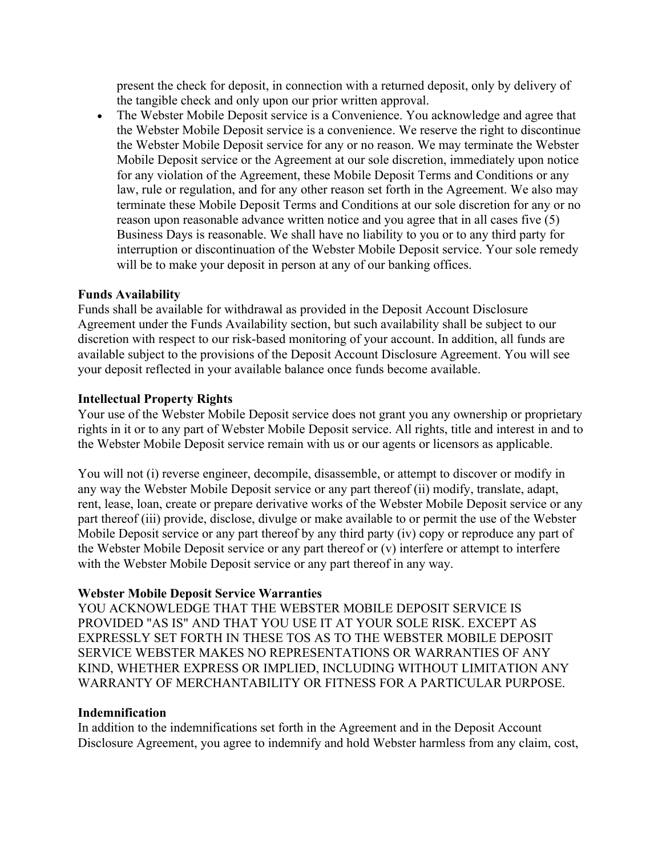present the check for deposit, in connection with a returned deposit, only by delivery of the tangible check and only upon our prior written approval.

• The Webster Mobile Deposit service is a Convenience. You acknowledge and agree that the Webster Mobile Deposit service is a convenience. We reserve the right to discontinue the Webster Mobile Deposit service for any or no reason. We may terminate the Webster Mobile Deposit service or the Agreement at our sole discretion, immediately upon notice for any violation of the Agreement, these Mobile Deposit Terms and Conditions or any law, rule or regulation, and for any other reason set forth in the Agreement. We also may terminate these Mobile Deposit Terms and Conditions at our sole discretion for any or no reason upon reasonable advance written notice and you agree that in all cases five (5) Business Days is reasonable. We shall have no liability to you or to any third party for interruption or discontinuation of the Webster Mobile Deposit service. Your sole remedy will be to make your deposit in person at any of our banking offices.

#### **Funds Availability**

Funds shall be available for withdrawal as provided in the Deposit Account Disclosure Agreement under the Funds Availability section, but such availability shall be subject to our discretion with respect to our risk-based monitoring of your account. In addition, all funds are available subject to the provisions of the Deposit Account Disclosure Agreement. You will see your deposit reflected in your available balance once funds become available.

#### **Intellectual Property Rights**

Your use of the Webster Mobile Deposit service does not grant you any ownership or proprietary rights in it or to any part of Webster Mobile Deposit service. All rights, title and interest in and to the Webster Mobile Deposit service remain with us or our agents or licensors as applicable.

You will not (i) reverse engineer, decompile, disassemble, or attempt to discover or modify in any way the Webster Mobile Deposit service or any part thereof (ii) modify, translate, adapt, rent, lease, loan, create or prepare derivative works of the Webster Mobile Deposit service or any part thereof (iii) provide, disclose, divulge or make available to or permit the use of the Webster Mobile Deposit service or any part thereof by any third party (iv) copy or reproduce any part of the Webster Mobile Deposit service or any part thereof or (v) interfere or attempt to interfere with the Webster Mobile Deposit service or any part thereof in any way.

#### **Webster Mobile Deposit Service Warranties**

YOU ACKNOWLEDGE THAT THE WEBSTER MOBILE DEPOSIT SERVICE IS PROVIDED "AS IS" AND THAT YOU USE IT AT YOUR SOLE RISK. EXCEPT AS EXPRESSLY SET FORTH IN THESE TOS AS TO THE WEBSTER MOBILE DEPOSIT SERVICE WEBSTER MAKES NO REPRESENTATIONS OR WARRANTIES OF ANY KIND, WHETHER EXPRESS OR IMPLIED, INCLUDING WITHOUT LIMITATION ANY WARRANTY OF MERCHANTABILITY OR FITNESS FOR A PARTICULAR PURPOSE.

#### **Indemnification**

In addition to the indemnifications set forth in the Agreement and in the Deposit Account Disclosure Agreement, you agree to indemnify and hold Webster harmless from any claim, cost,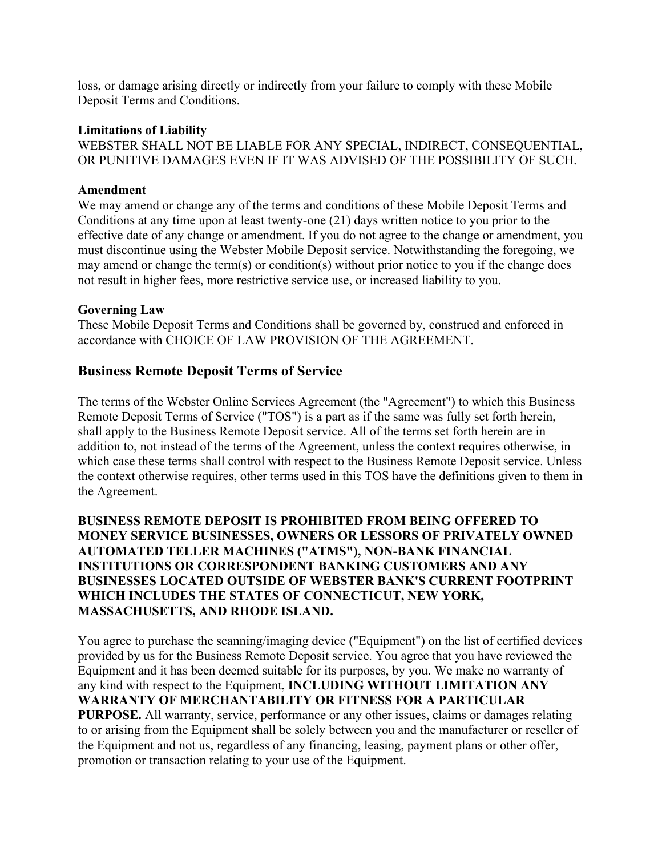loss, or damage arising directly or indirectly from your failure to comply with these Mobile Deposit Terms and Conditions.

#### **Limitations of Liability**

WEBSTER SHALL NOT BE LIABLE FOR ANY SPECIAL, INDIRECT, CONSEQUENTIAL, OR PUNITIVE DAMAGES EVEN IF IT WAS ADVISED OF THE POSSIBILITY OF SUCH.

#### **Amendment**

We may amend or change any of the terms and conditions of these Mobile Deposit Terms and Conditions at any time upon at least twenty-one (21) days written notice to you prior to the effective date of any change or amendment. If you do not agree to the change or amendment, you must discontinue using the Webster Mobile Deposit service. Notwithstanding the foregoing, we may amend or change the term(s) or condition(s) without prior notice to you if the change does not result in higher fees, more restrictive service use, or increased liability to you.

#### **Governing Law**

These Mobile Deposit Terms and Conditions shall be governed by, construed and enforced in accordance with CHOICE OF LAW PROVISION OF THE AGREEMENT.

#### **Business Remote Deposit Terms of Service**

The terms of the Webster Online Services Agreement (the "Agreement") to which this Business Remote Deposit Terms of Service ("TOS") is a part as if the same was fully set forth herein, shall apply to the Business Remote Deposit service. All of the terms set forth herein are in addition to, not instead of the terms of the Agreement, unless the context requires otherwise, in which case these terms shall control with respect to the Business Remote Deposit service. Unless the context otherwise requires, other terms used in this TOS have the definitions given to them in the Agreement.

#### **BUSINESS REMOTE DEPOSIT IS PROHIBITED FROM BEING OFFERED TO MONEY SERVICE BUSINESSES, OWNERS OR LESSORS OF PRIVATELY OWNED AUTOMATED TELLER MACHINES ("ATMS"), NON-BANK FINANCIAL INSTITUTIONS OR CORRESPONDENT BANKING CUSTOMERS AND ANY BUSINESSES LOCATED OUTSIDE OF WEBSTER BANK'S CURRENT FOOTPRINT WHICH INCLUDES THE STATES OF CONNECTICUT, NEW YORK, MASSACHUSETTS, AND RHODE ISLAND.**

You agree to purchase the scanning/imaging device ("Equipment") on the list of certified devices provided by us for the Business Remote Deposit service. You agree that you have reviewed the Equipment and it has been deemed suitable for its purposes, by you. We make no warranty of any kind with respect to the Equipment, **INCLUDING WITHOUT LIMITATION ANY WARRANTY OF MERCHANTABILITY OR FITNESS FOR A PARTICULAR PURPOSE.** All warranty, service, performance or any other issues, claims or damages relating to or arising from the Equipment shall be solely between you and the manufacturer or reseller of the Equipment and not us, regardless of any financing, leasing, payment plans or other offer, promotion or transaction relating to your use of the Equipment.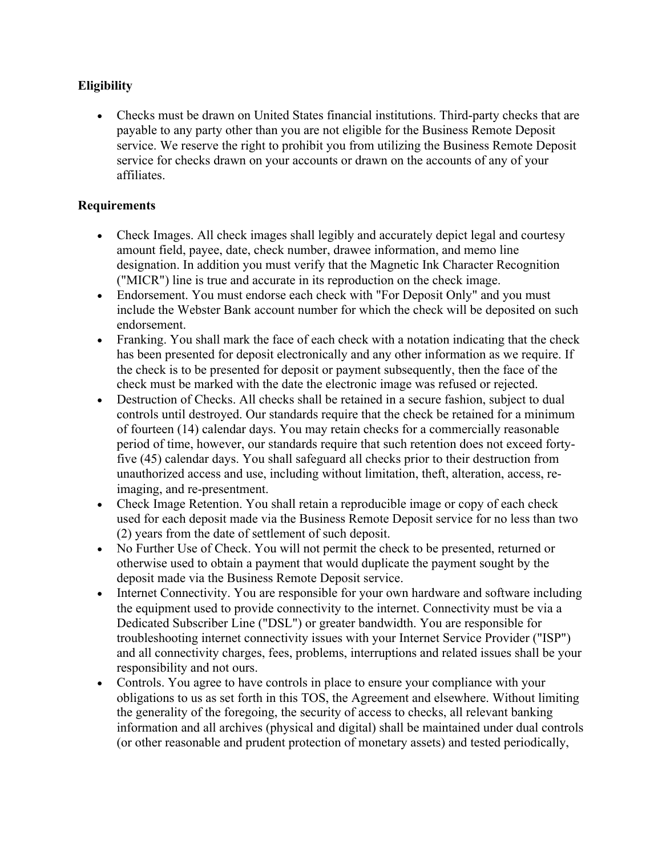### **Eligibility**

• Checks must be drawn on United States financial institutions. Third-party checks that are payable to any party other than you are not eligible for the Business Remote Deposit service. We reserve the right to prohibit you from utilizing the Business Remote Deposit service for checks drawn on your accounts or drawn on the accounts of any of your affiliates.

#### **Requirements**

- Check Images. All check images shall legibly and accurately depict legal and courtesy amount field, payee, date, check number, drawee information, and memo line designation. In addition you must verify that the Magnetic Ink Character Recognition ("MICR") line is true and accurate in its reproduction on the check image.
- Endorsement. You must endorse each check with "For Deposit Only" and you must include the Webster Bank account number for which the check will be deposited on such endorsement.
- Franking. You shall mark the face of each check with a notation indicating that the check has been presented for deposit electronically and any other information as we require. If the check is to be presented for deposit or payment subsequently, then the face of the check must be marked with the date the electronic image was refused or rejected.
- Destruction of Checks. All checks shall be retained in a secure fashion, subject to dual controls until destroyed. Our standards require that the check be retained for a minimum of fourteen (14) calendar days. You may retain checks for a commercially reasonable period of time, however, our standards require that such retention does not exceed fortyfive (45) calendar days. You shall safeguard all checks prior to their destruction from unauthorized access and use, including without limitation, theft, alteration, access, reimaging, and re-presentment.
- Check Image Retention. You shall retain a reproducible image or copy of each check used for each deposit made via the Business Remote Deposit service for no less than two (2) years from the date of settlement of such deposit.
- No Further Use of Check. You will not permit the check to be presented, returned or otherwise used to obtain a payment that would duplicate the payment sought by the deposit made via the Business Remote Deposit service.
- Internet Connectivity. You are responsible for your own hardware and software including the equipment used to provide connectivity to the internet. Connectivity must be via a Dedicated Subscriber Line ("DSL") or greater bandwidth. You are responsible for troubleshooting internet connectivity issues with your Internet Service Provider ("ISP") and all connectivity charges, fees, problems, interruptions and related issues shall be your responsibility and not ours.
- Controls. You agree to have controls in place to ensure your compliance with your obligations to us as set forth in this TOS, the Agreement and elsewhere. Without limiting the generality of the foregoing, the security of access to checks, all relevant banking information and all archives (physical and digital) shall be maintained under dual controls (or other reasonable and prudent protection of monetary assets) and tested periodically,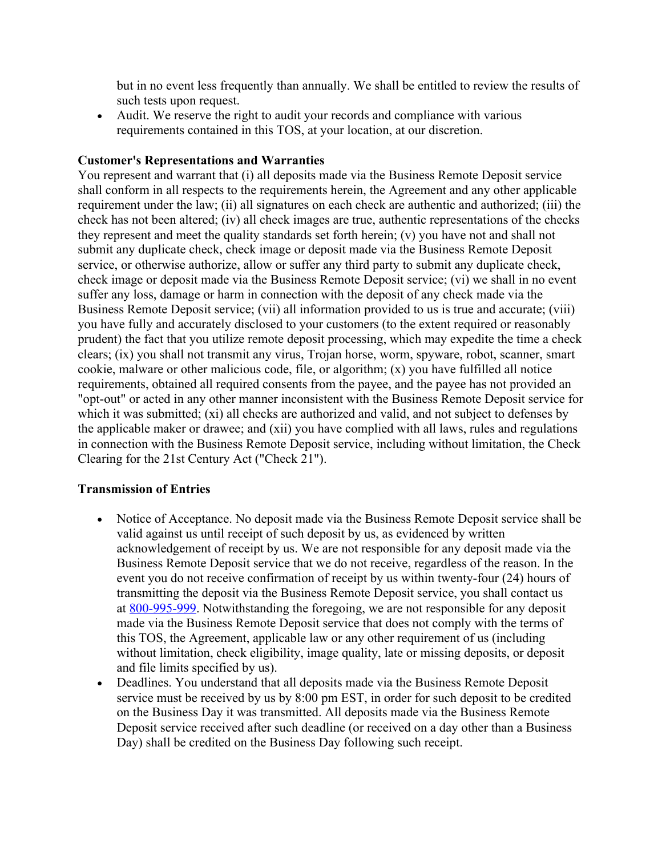but in no event less frequently than annually. We shall be entitled to review the results of such tests upon request.

• Audit. We reserve the right to audit your records and compliance with various requirements contained in this TOS, at your location, at our discretion.

#### **Customer's Representations and Warranties**

You represent and warrant that (i) all deposits made via the Business Remote Deposit service shall conform in all respects to the requirements herein, the Agreement and any other applicable requirement under the law; (ii) all signatures on each check are authentic and authorized; (iii) the check has not been altered; (iv) all check images are true, authentic representations of the checks they represent and meet the quality standards set forth herein; (v) you have not and shall not submit any duplicate check, check image or deposit made via the Business Remote Deposit service, or otherwise authorize, allow or suffer any third party to submit any duplicate check, check image or deposit made via the Business Remote Deposit service; (vi) we shall in no event suffer any loss, damage or harm in connection with the deposit of any check made via the Business Remote Deposit service; (vii) all information provided to us is true and accurate; (viii) you have fully and accurately disclosed to your customers (to the extent required or reasonably prudent) the fact that you utilize remote deposit processing, which may expedite the time a check clears; (ix) you shall not transmit any virus, Trojan horse, worm, spyware, robot, scanner, smart cookie, malware or other malicious code, file, or algorithm; (x) you have fulfilled all notice requirements, obtained all required consents from the payee, and the payee has not provided an "opt-out" or acted in any other manner inconsistent with the Business Remote Deposit service for which it was submitted; (xi) all checks are authorized and valid, and not subject to defenses by the applicable maker or drawee; and (xii) you have complied with all laws, rules and regulations in connection with the Business Remote Deposit service, including without limitation, the Check Clearing for the 21st Century Act ("Check 21").

#### **Transmission of Entries**

- Notice of Acceptance. No deposit made via the Business Remote Deposit service shall be valid against us until receipt of such deposit by us, as evidenced by written acknowledgement of receipt by us. We are not responsible for any deposit made via the Business Remote Deposit service that we do not receive, regardless of the reason. In the event you do not receive confirmation of receipt by us within twenty-four (24) hours of transmitting the deposit via the Business Remote Deposit service, you shall contact us at 800-995-999. Notwithstanding the foregoing, we are not responsible for any deposit made via the Business Remote Deposit service that does not comply with the terms of this TOS, the Agreement, applicable law or any other requirement of us (including without limitation, check eligibility, image quality, late or missing deposits, or deposit and file limits specified by us).
- Deadlines. You understand that all deposits made via the Business Remote Deposit service must be received by us by 8:00 pm EST, in order for such deposit to be credited on the Business Day it was transmitted. All deposits made via the Business Remote Deposit service received after such deadline (or received on a day other than a Business Day) shall be credited on the Business Day following such receipt.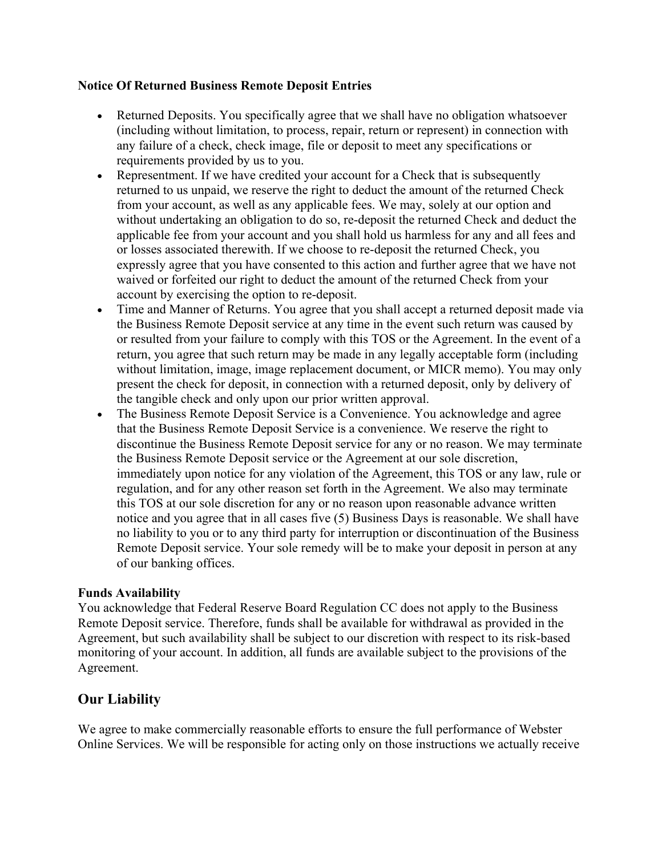#### **Notice Of Returned Business Remote Deposit Entries**

- Returned Deposits. You specifically agree that we shall have no obligation whatsoever (including without limitation, to process, repair, return or represent) in connection with any failure of a check, check image, file or deposit to meet any specifications or requirements provided by us to you.
- Representment. If we have credited your account for a Check that is subsequently returned to us unpaid, we reserve the right to deduct the amount of the returned Check from your account, as well as any applicable fees. We may, solely at our option and without undertaking an obligation to do so, re-deposit the returned Check and deduct the applicable fee from your account and you shall hold us harmless for any and all fees and or losses associated therewith. If we choose to re-deposit the returned Check, you expressly agree that you have consented to this action and further agree that we have not waived or forfeited our right to deduct the amount of the returned Check from your account by exercising the option to re-deposit.
- Time and Manner of Returns. You agree that you shall accept a returned deposit made via the Business Remote Deposit service at any time in the event such return was caused by or resulted from your failure to comply with this TOS or the Agreement. In the event of a return, you agree that such return may be made in any legally acceptable form (including without limitation, image, image replacement document, or MICR memo). You may only present the check for deposit, in connection with a returned deposit, only by delivery of the tangible check and only upon our prior written approval.
- The Business Remote Deposit Service is a Convenience. You acknowledge and agree that the Business Remote Deposit Service is a convenience. We reserve the right to discontinue the Business Remote Deposit service for any or no reason. We may terminate the Business Remote Deposit service or the Agreement at our sole discretion, immediately upon notice for any violation of the Agreement, this TOS or any law, rule or regulation, and for any other reason set forth in the Agreement. We also may terminate this TOS at our sole discretion for any or no reason upon reasonable advance written notice and you agree that in all cases five (5) Business Days is reasonable. We shall have no liability to you or to any third party for interruption or discontinuation of the Business Remote Deposit service. Your sole remedy will be to make your deposit in person at any of our banking offices.

#### **Funds Availability**

You acknowledge that Federal Reserve Board Regulation CC does not apply to the Business Remote Deposit service. Therefore, funds shall be available for withdrawal as provided in the Agreement, but such availability shall be subject to our discretion with respect to its risk-based monitoring of your account. In addition, all funds are available subject to the provisions of the Agreement.

## **Our Liability**

We agree to make commercially reasonable efforts to ensure the full performance of Webster Online Services. We will be responsible for acting only on those instructions we actually receive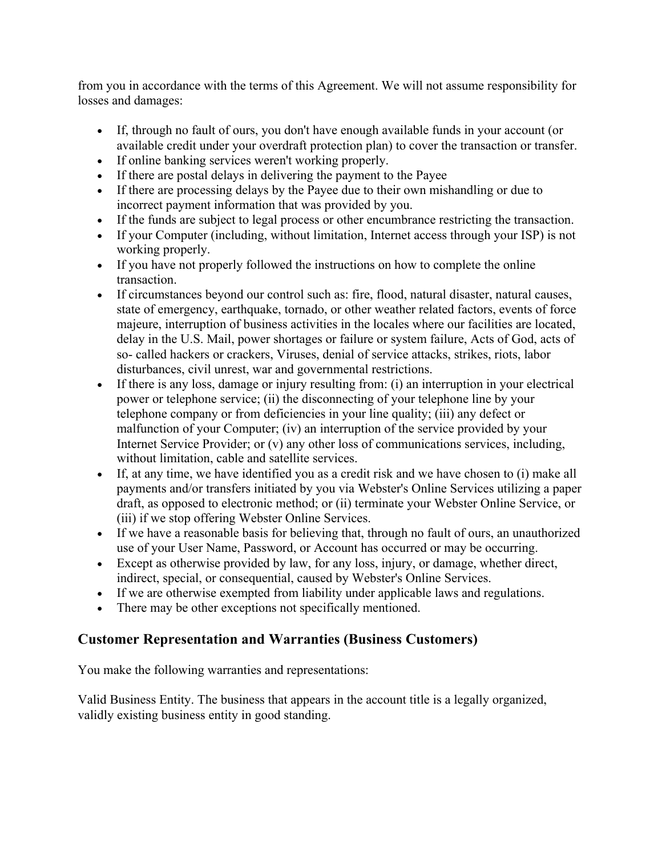from you in accordance with the terms of this Agreement. We will not assume responsibility for losses and damages:

- If, through no fault of ours, you don't have enough available funds in your account (or available credit under your overdraft protection plan) to cover the transaction or transfer.
- If online banking services weren't working properly.
- If there are postal delays in delivering the payment to the Payee
- If there are processing delays by the Payee due to their own mishandling or due to incorrect payment information that was provided by you.
- If the funds are subject to legal process or other encumbrance restricting the transaction.
- If your Computer (including, without limitation, Internet access through your ISP) is not working properly.
- If you have not properly followed the instructions on how to complete the online transaction.
- If circumstances beyond our control such as: fire, flood, natural disaster, natural causes, state of emergency, earthquake, tornado, or other weather related factors, events of force majeure, interruption of business activities in the locales where our facilities are located, delay in the U.S. Mail, power shortages or failure or system failure, Acts of God, acts of so- called hackers or crackers, Viruses, denial of service attacks, strikes, riots, labor disturbances, civil unrest, war and governmental restrictions.
- If there is any loss, damage or injury resulting from: (i) an interruption in your electrical power or telephone service; (ii) the disconnecting of your telephone line by your telephone company or from deficiencies in your line quality; (iii) any defect or malfunction of your Computer; (iv) an interruption of the service provided by your Internet Service Provider; or (v) any other loss of communications services, including, without limitation, cable and satellite services.
- If, at any time, we have identified you as a credit risk and we have chosen to (i) make all payments and/or transfers initiated by you via Webster's Online Services utilizing a paper draft, as opposed to electronic method; or (ii) terminate your Webster Online Service, or (iii) if we stop offering Webster Online Services.
- If we have a reasonable basis for believing that, through no fault of ours, an unauthorized use of your User Name, Password, or Account has occurred or may be occurring.
- Except as otherwise provided by law, for any loss, injury, or damage, whether direct, indirect, special, or consequential, caused by Webster's Online Services.
- If we are otherwise exempted from liability under applicable laws and regulations.
- There may be other exceptions not specifically mentioned.

## **Customer Representation and Warranties (Business Customers)**

You make the following warranties and representations:

Valid Business Entity. The business that appears in the account title is a legally organized, validly existing business entity in good standing.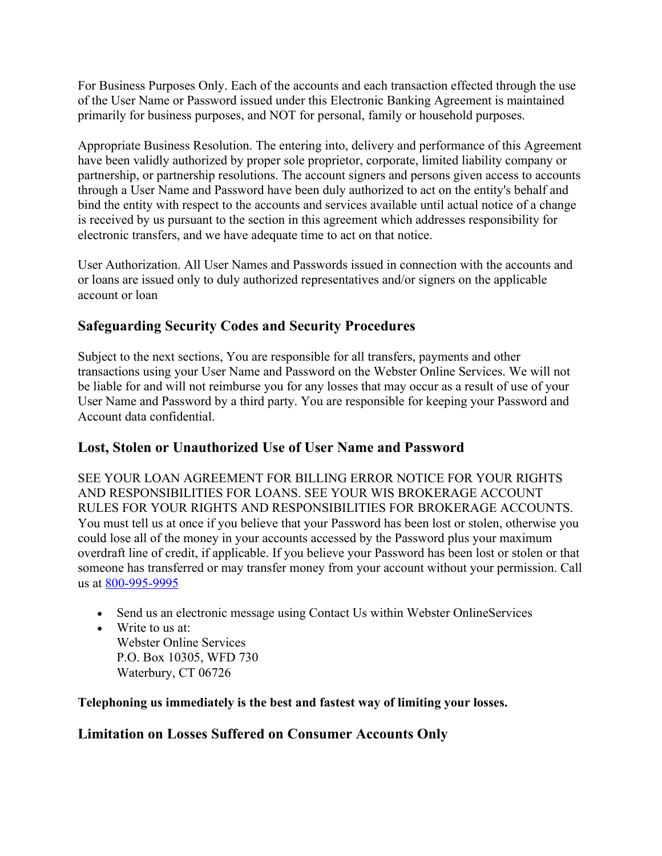For Business Purposes Only. Each of the accounts and each transaction effected through the use of the User Name or Password issued under this Electronic Banking Agreement is maintained primarily for business purposes, and NOT for personal, family or household purposes.

Appropriate Business Resolution. The entering into, delivery and performance of this Agreement have been validly authorized by proper sole proprietor, corporate, limited liability company or partnership, or partnership resolutions. The account signers and persons given access to accounts through a User Name and Password have been duly authorized to act on the entity's behalf and bind the entity with respect to the accounts and services available until actual notice of a change is received by us pursuant to the section in this agreement which addresses responsibility for electronic transfers, and we have adequate time to act on that notice.

User Authorization. All User Names and Passwords issued in connection with the accounts and or loans are issued only to duly authorized representatives and/or signers on the applicable account or loan

## **Safeguarding Security Codes and Security Procedures**

Subject to the next sections, You are responsible for all transfers, payments and other transactions using your User Name and Password on the Webster Online Services. We will not be liable for and will not reimburse you for any losses that may occur as a result of use of your User Name and Password by a third party. You are responsible for keeping your Password and Account data confidential.

## **Lost, Stolen or Unauthorized Use of User Name and Password**

SEE YOUR LOAN AGREEMENT FOR BILLING ERROR NOTICE FOR YOUR RIGHTS AND RESPONSIBILITIES FOR LOANS. SEE YOUR WIS BROKERAGE ACCOUNT RULES FOR YOUR RIGHTS AND RESPONSIBILITIES FOR BROKERAGE ACCOUNTS. You must tell us at once if you believe that your Password has been lost or stolen, otherwise you could lose all of the money in your accounts accessed by the Password plus your maximum overdraft line of credit, if applicable. If you believe your Password has been lost or stolen or that someone has transferred or may transfer money from your account without your permission. Call us at 800-995-9995

- Send us an electronic message using Contact Us within Webster OnlineServices
- Write to us at: Webster Online Services P.O. Box 10305, WFD 730 Waterbury, CT 06726

## **Telephoning us immediately is the best and fastest way of limiting your losses.**

## **Limitation on Losses Suffered on Consumer Accounts Only**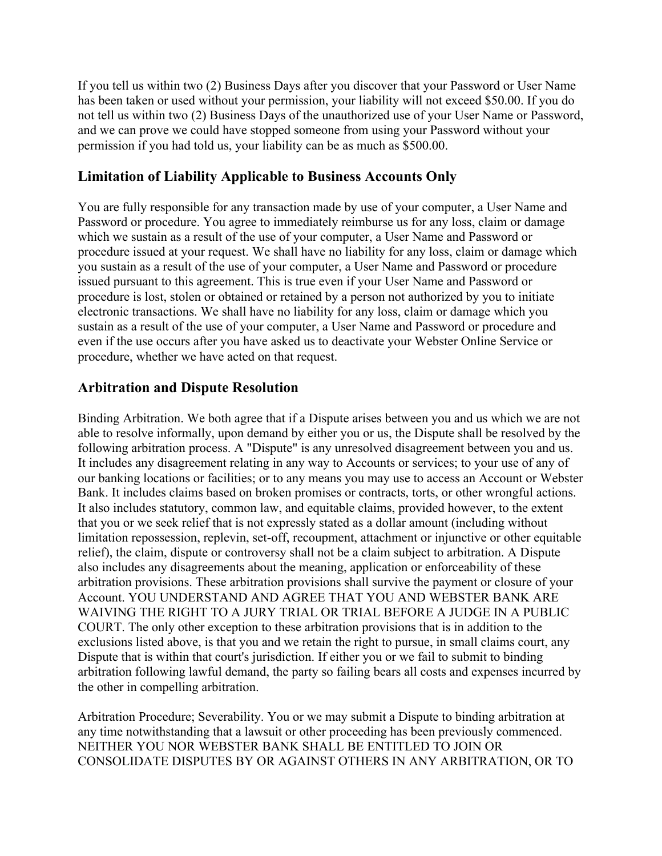If you tell us within two (2) Business Days after you discover that your Password or User Name has been taken or used without your permission, your liability will not exceed \$50.00. If you do not tell us within two (2) Business Days of the unauthorized use of your User Name or Password, and we can prove we could have stopped someone from using your Password without your permission if you had told us, your liability can be as much as \$500.00.

## **Limitation of Liability Applicable to Business Accounts Only**

You are fully responsible for any transaction made by use of your computer, a User Name and Password or procedure. You agree to immediately reimburse us for any loss, claim or damage which we sustain as a result of the use of your computer, a User Name and Password or procedure issued at your request. We shall have no liability for any loss, claim or damage which you sustain as a result of the use of your computer, a User Name and Password or procedure issued pursuant to this agreement. This is true even if your User Name and Password or procedure is lost, stolen or obtained or retained by a person not authorized by you to initiate electronic transactions. We shall have no liability for any loss, claim or damage which you sustain as a result of the use of your computer, a User Name and Password or procedure and even if the use occurs after you have asked us to deactivate your Webster Online Service or procedure, whether we have acted on that request.

## **Arbitration and Dispute Resolution**

Binding Arbitration. We both agree that if a Dispute arises between you and us which we are not able to resolve informally, upon demand by either you or us, the Dispute shall be resolved by the following arbitration process. A "Dispute" is any unresolved disagreement between you and us. It includes any disagreement relating in any way to Accounts or services; to your use of any of our banking locations or facilities; or to any means you may use to access an Account or Webster Bank. It includes claims based on broken promises or contracts, torts, or other wrongful actions. It also includes statutory, common law, and equitable claims, provided however, to the extent that you or we seek relief that is not expressly stated as a dollar amount (including without limitation repossession, replevin, set-off, recoupment, attachment or injunctive or other equitable relief), the claim, dispute or controversy shall not be a claim subject to arbitration. A Dispute also includes any disagreements about the meaning, application or enforceability of these arbitration provisions. These arbitration provisions shall survive the payment or closure of your Account. YOU UNDERSTAND AND AGREE THAT YOU AND WEBSTER BANK ARE WAIVING THE RIGHT TO A JURY TRIAL OR TRIAL BEFORE A JUDGE IN A PUBLIC COURT. The only other exception to these arbitration provisions that is in addition to the exclusions listed above, is that you and we retain the right to pursue, in small claims court, any Dispute that is within that court's jurisdiction. If either you or we fail to submit to binding arbitration following lawful demand, the party so failing bears all costs and expenses incurred by the other in compelling arbitration.

Arbitration Procedure; Severability. You or we may submit a Dispute to binding arbitration at any time notwithstanding that a lawsuit or other proceeding has been previously commenced. NEITHER YOU NOR WEBSTER BANK SHALL BE ENTITLED TO JOIN OR CONSOLIDATE DISPUTES BY OR AGAINST OTHERS IN ANY ARBITRATION, OR TO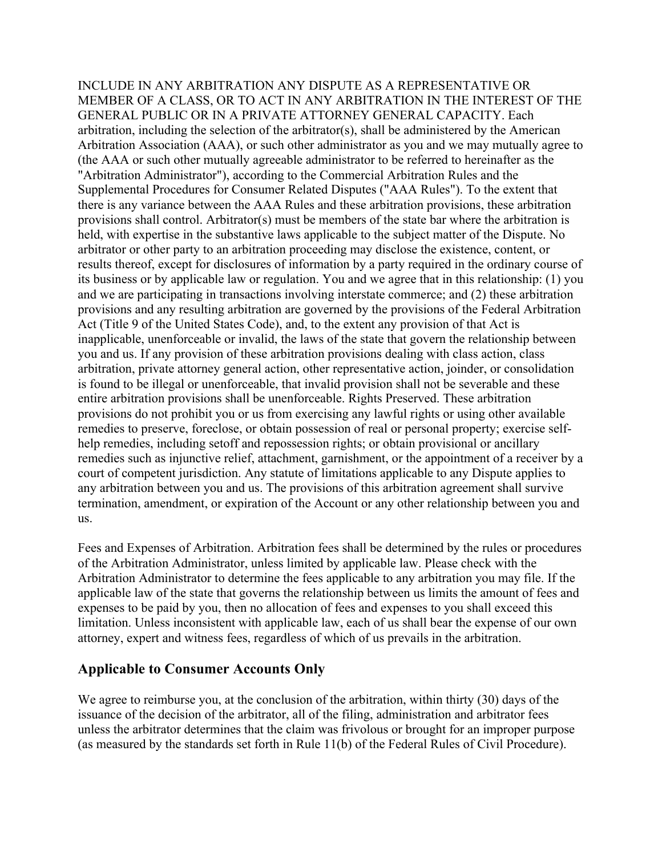INCLUDE IN ANY ARBITRATION ANY DISPUTE AS A REPRESENTATIVE OR MEMBER OF A CLASS, OR TO ACT IN ANY ARBITRATION IN THE INTEREST OF THE GENERAL PUBLIC OR IN A PRIVATE ATTORNEY GENERAL CAPACITY. Each arbitration, including the selection of the arbitrator(s), shall be administered by the American Arbitration Association (AAA), or such other administrator as you and we may mutually agree to (the AAA or such other mutually agreeable administrator to be referred to hereinafter as the "Arbitration Administrator"), according to the Commercial Arbitration Rules and the Supplemental Procedures for Consumer Related Disputes ("AAA Rules"). To the extent that there is any variance between the AAA Rules and these arbitration provisions, these arbitration provisions shall control. Arbitrator(s) must be members of the state bar where the arbitration is held, with expertise in the substantive laws applicable to the subject matter of the Dispute. No arbitrator or other party to an arbitration proceeding may disclose the existence, content, or results thereof, except for disclosures of information by a party required in the ordinary course of its business or by applicable law or regulation. You and we agree that in this relationship: (1) you and we are participating in transactions involving interstate commerce; and (2) these arbitration provisions and any resulting arbitration are governed by the provisions of the Federal Arbitration Act (Title 9 of the United States Code), and, to the extent any provision of that Act is inapplicable, unenforceable or invalid, the laws of the state that govern the relationship between you and us. If any provision of these arbitration provisions dealing with class action, class arbitration, private attorney general action, other representative action, joinder, or consolidation is found to be illegal or unenforceable, that invalid provision shall not be severable and these entire arbitration provisions shall be unenforceable. Rights Preserved. These arbitration provisions do not prohibit you or us from exercising any lawful rights or using other available remedies to preserve, foreclose, or obtain possession of real or personal property; exercise selfhelp remedies, including setoff and repossession rights; or obtain provisional or ancillary remedies such as injunctive relief, attachment, garnishment, or the appointment of a receiver by a court of competent jurisdiction. Any statute of limitations applicable to any Dispute applies to any arbitration between you and us. The provisions of this arbitration agreement shall survive termination, amendment, or expiration of the Account or any other relationship between you and us.

Fees and Expenses of Arbitration. Arbitration fees shall be determined by the rules or procedures of the Arbitration Administrator, unless limited by applicable law. Please check with the Arbitration Administrator to determine the fees applicable to any arbitration you may file. If the applicable law of the state that governs the relationship between us limits the amount of fees and expenses to be paid by you, then no allocation of fees and expenses to you shall exceed this limitation. Unless inconsistent with applicable law, each of us shall bear the expense of our own attorney, expert and witness fees, regardless of which of us prevails in the arbitration.

#### **Applicable to Consumer Accounts Only**

We agree to reimburse you, at the conclusion of the arbitration, within thirty (30) days of the issuance of the decision of the arbitrator, all of the filing, administration and arbitrator fees unless the arbitrator determines that the claim was frivolous or brought for an improper purpose (as measured by the standards set forth in Rule 11(b) of the Federal Rules of Civil Procedure).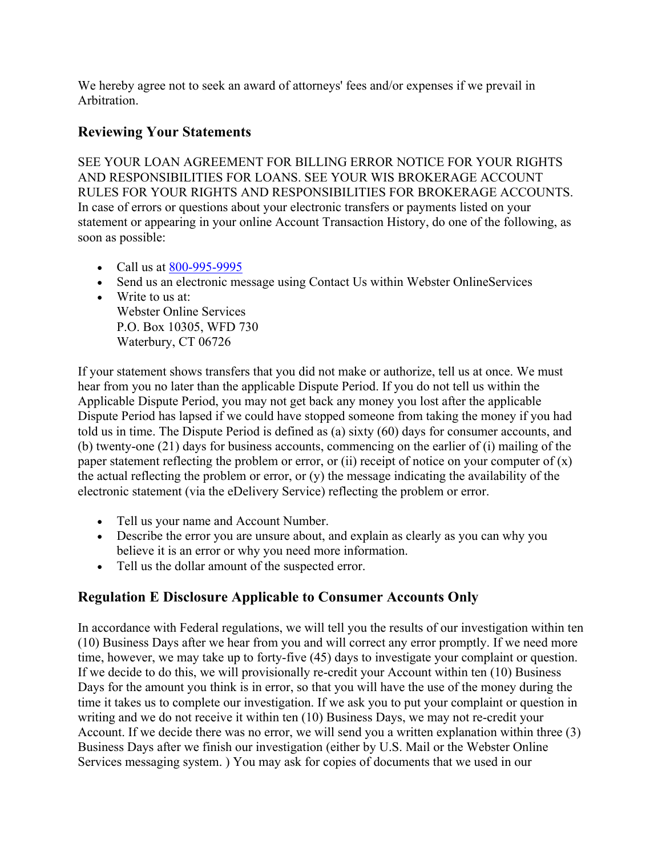We hereby agree not to seek an award of attorneys' fees and/or expenses if we prevail in Arbitration.

## **Reviewing Your Statements**

SEE YOUR LOAN AGREEMENT FOR BILLING ERROR NOTICE FOR YOUR RIGHTS AND RESPONSIBILITIES FOR LOANS. SEE YOUR WIS BROKERAGE ACCOUNT RULES FOR YOUR RIGHTS AND RESPONSIBILITIES FOR BROKERAGE ACCOUNTS. In case of errors or questions about your electronic transfers or payments listed on your statement or appearing in your online Account Transaction History, do one of the following, as soon as possible:

- Call us at  $800 995 9995$
- Send us an electronic message using Contact Us within Webster OnlineServices
- Write to us at: Webster Online Services P.O. Box 10305, WFD 730 Waterbury, CT 06726

If your statement shows transfers that you did not make or authorize, tell us at once. We must hear from you no later than the applicable Dispute Period. If you do not tell us within the Applicable Dispute Period, you may not get back any money you lost after the applicable Dispute Period has lapsed if we could have stopped someone from taking the money if you had told us in time. The Dispute Period is defined as (a) sixty (60) days for consumer accounts, and (b) twenty-one (21) days for business accounts, commencing on the earlier of (i) mailing of the paper statement reflecting the problem or error, or (ii) receipt of notice on your computer of  $(x)$ the actual reflecting the problem or error, or  $(y)$  the message indicating the availability of the electronic statement (via the eDelivery Service) reflecting the problem or error.

- Tell us your name and Account Number.
- Describe the error you are unsure about, and explain as clearly as you can why you believe it is an error or why you need more information.
- Tell us the dollar amount of the suspected error.

## **Regulation E Disclosure Applicable to Consumer Accounts Only**

In accordance with Federal regulations, we will tell you the results of our investigation within ten (10) Business Days after we hear from you and will correct any error promptly. If we need more time, however, we may take up to forty-five (45) days to investigate your complaint or question. If we decide to do this, we will provisionally re-credit your Account within ten (10) Business Days for the amount you think is in error, so that you will have the use of the money during the time it takes us to complete our investigation. If we ask you to put your complaint or question in writing and we do not receive it within ten (10) Business Days, we may not re-credit your Account. If we decide there was no error, we will send you a written explanation within three (3) Business Days after we finish our investigation (either by U.S. Mail or the Webster Online Services messaging system. ) You may ask for copies of documents that we used in our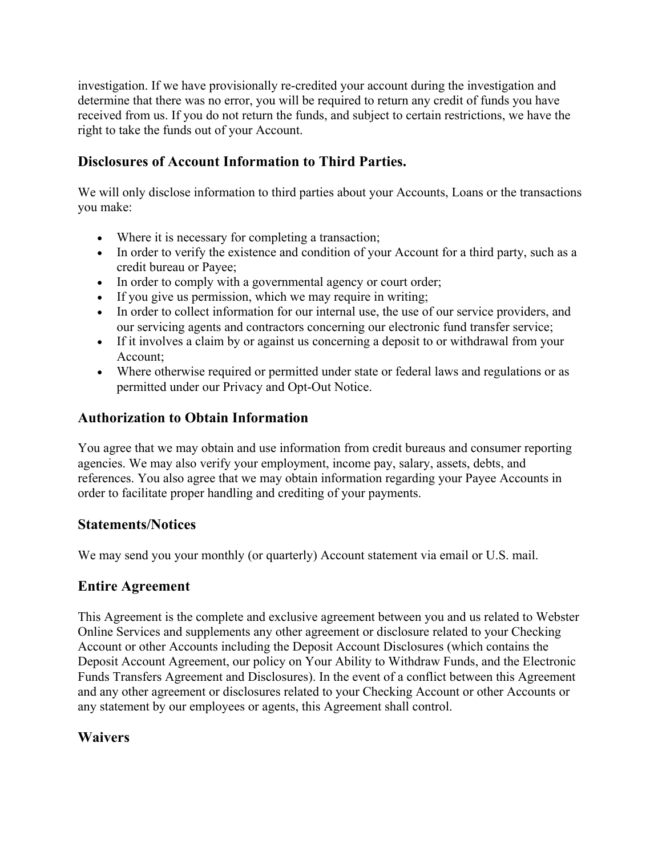investigation. If we have provisionally re-credited your account during the investigation and determine that there was no error, you will be required to return any credit of funds you have received from us. If you do not return the funds, and subject to certain restrictions, we have the right to take the funds out of your Account.

## **Disclosures of Account Information to Third Parties.**

We will only disclose information to third parties about your Accounts, Loans or the transactions you make:

- Where it is necessary for completing a transaction;
- In order to verify the existence and condition of your Account for a third party, such as a credit bureau or Payee;
- In order to comply with a governmental agency or court order;
- If you give us permission, which we may require in writing;
- In order to collect information for our internal use, the use of our service providers, and our servicing agents and contractors concerning our electronic fund transfer service;
- If it involves a claim by or against us concerning a deposit to or withdrawal from your Account;
- Where otherwise required or permitted under state or federal laws and regulations or as permitted under our Privacy and Opt-Out Notice.

## **Authorization to Obtain Information**

You agree that we may obtain and use information from credit bureaus and consumer reporting agencies. We may also verify your employment, income pay, salary, assets, debts, and references. You also agree that we may obtain information regarding your Payee Accounts in order to facilitate proper handling and crediting of your payments.

## **Statements/Notices**

We may send you your monthly (or quarterly) Account statement via email or U.S. mail.

## **Entire Agreement**

This Agreement is the complete and exclusive agreement between you and us related to Webster Online Services and supplements any other agreement or disclosure related to your Checking Account or other Accounts including the Deposit Account Disclosures (which contains the Deposit Account Agreement, our policy on Your Ability to Withdraw Funds, and the Electronic Funds Transfers Agreement and Disclosures). In the event of a conflict between this Agreement and any other agreement or disclosures related to your Checking Account or other Accounts or any statement by our employees or agents, this Agreement shall control.

## **Waivers**